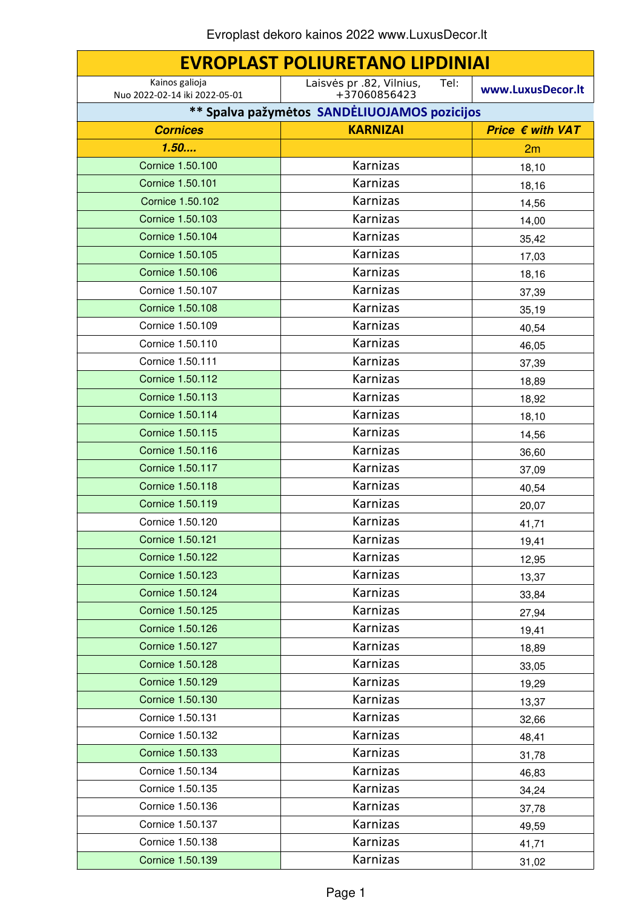| <b>EVROPLAST POLIURETANO LIPDINIAI</b>          |                                                  |                           |
|-------------------------------------------------|--------------------------------------------------|---------------------------|
| Kainos galioja<br>Nuo 2022-02-14 iki 2022-05-01 | Laisvės pr .82, Vilnius,<br>Tel:<br>+37060856423 | www.LuxusDecor.lt         |
|                                                 | ** Spalva pažymėtos SANDĖLIUOJAMOS pozicijos     |                           |
| <b>Cornices</b>                                 | <b>KARNIZAI</b>                                  | Price $\epsilon$ with VAT |
| 1.50                                            |                                                  | 2m                        |
| Cornice 1.50.100                                | Karnizas                                         | 18,10                     |
| Cornice 1.50.101                                | Karnizas                                         | 18,16                     |
| Cornice 1.50.102                                | Karnizas                                         | 14,56                     |
| Cornice 1.50.103                                | Karnizas                                         | 14,00                     |
| Cornice 1.50.104                                | Karnizas                                         | 35,42                     |
| Cornice 1.50.105                                | Karnizas                                         | 17,03                     |
| Cornice 1.50.106                                | Karnizas                                         | 18,16                     |
| Cornice 1.50.107                                | Karnizas                                         | 37,39                     |
| <b>Cornice 1.50.108</b>                         | Karnizas                                         | 35,19                     |
| Cornice 1.50.109                                | <b>Karnizas</b>                                  | 40,54                     |
| Cornice 1.50.110                                | Karnizas                                         | 46,05                     |
| Cornice 1.50.111                                | Karnizas                                         | 37,39                     |
| Cornice 1.50.112                                | Karnizas                                         | 18,89                     |
| Cornice 1.50.113                                | Karnizas                                         | 18,92                     |
| Cornice 1.50.114                                | Karnizas                                         | 18,10                     |
| Cornice 1.50.115                                | Karnizas                                         | 14,56                     |
| Cornice 1.50.116                                | Karnizas                                         | 36,60                     |
| Cornice 1.50.117                                | Karnizas                                         | 37,09                     |
| Cornice 1.50.118                                | Karnizas                                         | 40,54                     |
| Cornice 1.50.119                                | Karnizas                                         | 20,07                     |
| Cornice 1.50.120                                | <b>Karnizas</b>                                  | 41,71                     |
| <b>Cornice 1.50.121</b>                         | Karnizas                                         | 19,41                     |
| Cornice 1.50.122                                | Karnizas                                         | 12,95                     |
| Cornice 1.50.123                                | Karnizas                                         | 13,37                     |
| Cornice 1.50.124                                | Karnizas                                         | 33,84                     |
| Cornice 1.50.125                                | Karnizas                                         | 27,94                     |
| Cornice 1.50.126                                | Karnizas                                         | 19,41                     |
| Cornice 1.50.127                                | Karnizas                                         | 18,89                     |
| Cornice 1.50.128                                | Karnizas                                         | 33,05                     |
| Cornice 1.50.129                                | Karnizas                                         | 19,29                     |
| Cornice 1.50.130                                | Karnizas                                         | 13,37                     |
| Cornice 1.50.131                                | Karnizas                                         | 32,66                     |
| Cornice 1.50.132                                | Karnizas                                         | 48,41                     |
| Cornice 1.50.133                                | Karnizas                                         | 31,78                     |
| Cornice 1.50.134                                | Karnizas                                         | 46,83                     |
| Cornice 1.50.135                                | Karnizas                                         | 34,24                     |
| Cornice 1.50.136                                | Karnizas                                         | 37,78                     |
| Cornice 1.50.137                                | Karnizas                                         | 49,59                     |
| Cornice 1.50.138                                | Karnizas                                         | 41,71                     |
| Cornice 1.50.139                                | Karnizas                                         | 31,02                     |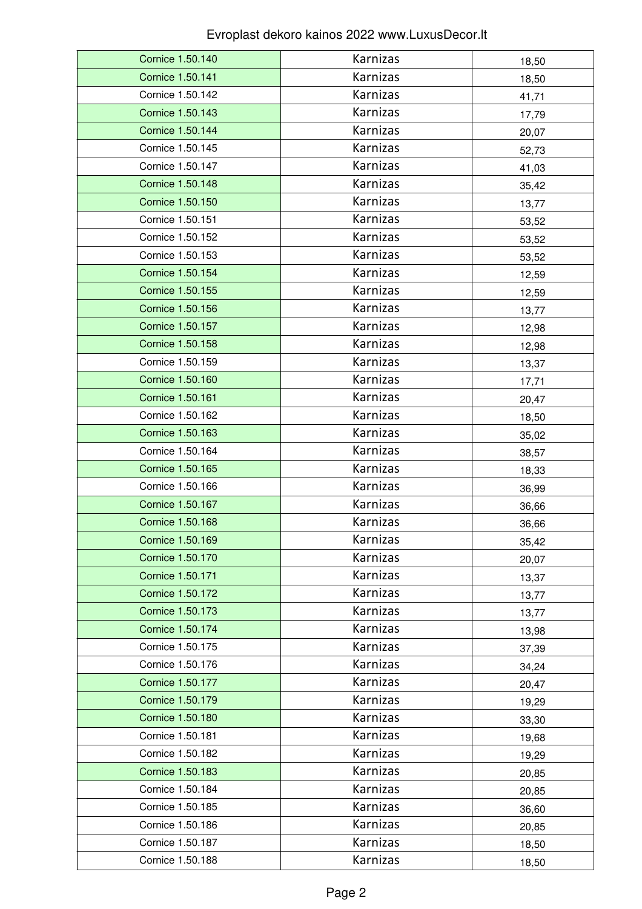| Cornice 1.50.140        | Karnizas        | 18,50 |
|-------------------------|-----------------|-------|
| <b>Cornice 1.50.141</b> | Karnizas        | 18,50 |
| Cornice 1.50.142        | Karnizas        | 41,71 |
| Cornice 1.50.143        | Karnizas        | 17,79 |
| Cornice 1.50.144        | Karnizas        | 20,07 |
| Cornice 1.50.145        | Karnizas        | 52,73 |
| Cornice 1.50.147        | <b>Karnizas</b> | 41,03 |
| <b>Cornice 1.50.148</b> | Karnizas        | 35,42 |
| Cornice 1.50.150        | Karnizas        | 13,77 |
| Cornice 1.50.151        | Karnizas        | 53,52 |
| Cornice 1.50.152        | Karnizas        | 53,52 |
| Cornice 1.50.153        | Karnizas        | 53,52 |
| Cornice 1.50.154        | Karnizas        | 12,59 |
| Cornice 1.50.155        | Karnizas        | 12,59 |
| Cornice 1.50.156        | Karnizas        | 13,77 |
| <b>Cornice 1.50.157</b> | Karnizas        | 12,98 |
| Cornice 1.50.158        | Karnizas        | 12,98 |
| Cornice 1.50.159        | Karnizas        | 13,37 |
| Cornice 1.50.160        | Karnizas        | 17,71 |
| <b>Cornice 1.50.161</b> | Karnizas        | 20,47 |
| Cornice 1.50.162        | Karnizas        | 18,50 |
| <b>Cornice 1.50.163</b> | Karnizas        | 35,02 |
| Cornice 1.50.164        | Karnizas        | 38,57 |
| Cornice 1.50.165        | Karnizas        | 18,33 |
| Cornice 1.50.166        | Karnizas        | 36,99 |
| Cornice 1.50.167        | Karnizas        | 36,66 |
| <b>Cornice 1.50.168</b> | Karnizas        | 36,66 |
| Cornice 1.50.169        | Karnizas        | 35,42 |
| Cornice 1.50.170        | Karnizas        | 20,07 |
| Cornice 1.50.171        | Karnizas        | 13,37 |
| <b>Cornice 1.50.172</b> | Karnizas        | 13,77 |
| Cornice 1.50.173        | Karnizas        | 13,77 |
| Cornice 1.50.174        | Karnizas        | 13,98 |
| Cornice 1.50.175        | Karnizas        | 37,39 |
| Cornice 1.50.176        | Karnizas        | 34,24 |
| Cornice 1.50.177        | Karnizas        | 20,47 |
| Cornice 1.50.179        | Karnizas        | 19,29 |
| Cornice 1.50.180        | Karnizas        | 33,30 |
| Cornice 1.50.181        | Karnizas        | 19,68 |
| Cornice 1.50.182        | Karnizas        | 19,29 |
| Cornice 1.50.183        | Karnizas        | 20,85 |
| Cornice 1.50.184        | Karnizas        | 20,85 |
| Cornice 1.50.185        | Karnizas        | 36,60 |
| Cornice 1.50.186        | Karnizas        | 20,85 |
| Cornice 1.50.187        | Karnizas        | 18,50 |
| Cornice 1.50.188        | Karnizas        | 18,50 |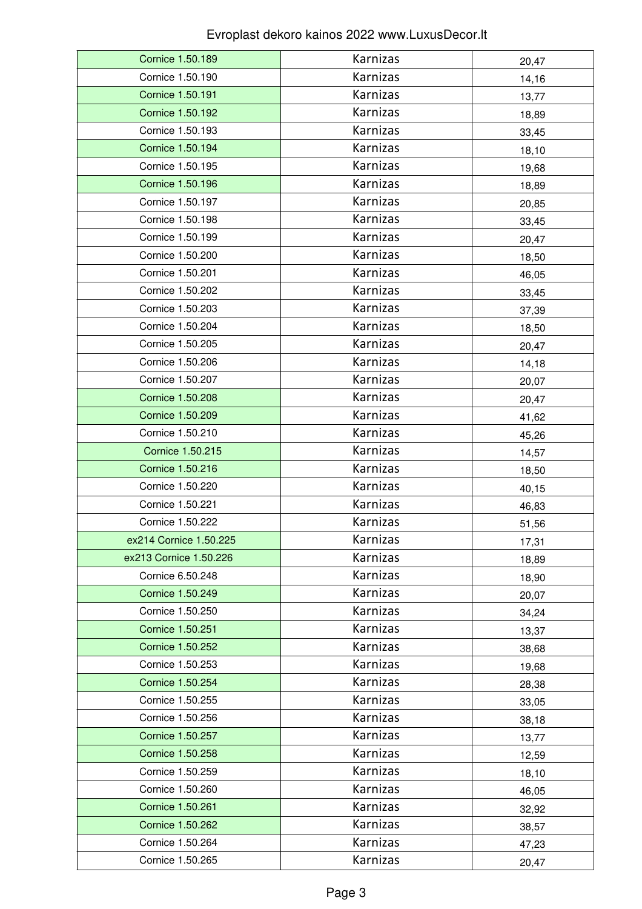| Cornice 1.50.189       | Karnizas        | 20,47 |
|------------------------|-----------------|-------|
| Cornice 1.50.190       | Karnizas        | 14,16 |
| Cornice 1.50.191       | Karnizas        | 13,77 |
| Cornice 1.50.192       | Karnizas        | 18,89 |
| Cornice 1.50.193       | Karnizas        | 33,45 |
| Cornice 1.50.194       | Karnizas        | 18,10 |
| Cornice 1.50.195       | <b>Karnizas</b> | 19,68 |
| Cornice 1.50.196       | Karnizas        | 18,89 |
| Cornice 1.50.197       | Karnizas        | 20,85 |
| Cornice 1.50.198       | Karnizas        | 33,45 |
| Cornice 1.50.199       | Karnizas        | 20,47 |
| Cornice 1.50.200       | Karnizas        | 18,50 |
| Cornice 1.50.201       | Karnizas        | 46,05 |
| Cornice 1.50.202       | Karnizas        | 33,45 |
| Cornice 1.50.203       | Karnizas        | 37,39 |
| Cornice 1.50.204       | Karnizas        | 18,50 |
| Cornice 1.50.205       | Karnizas        | 20,47 |
| Cornice 1.50.206       | Karnizas        | 14,18 |
| Cornice 1.50.207       | Karnizas        | 20,07 |
| Cornice 1.50.208       | Karnizas        | 20,47 |
| Cornice 1.50.209       | Karnizas        | 41,62 |
| Cornice 1.50.210       | Karnizas        | 45,26 |
| Cornice 1.50.215       | Karnizas        | 14,57 |
| Cornice 1.50.216       | Karnizas        | 18,50 |
| Cornice 1.50.220       | Karnizas        | 40,15 |
| Cornice 1.50.221       | Karnizas        | 46,83 |
| Cornice 1.50.222       | Karnizas        | 51,56 |
| ex214 Cornice 1.50.225 | Karnizas        | 17,31 |
| ex213 Cornice 1.50.226 | Karnizas        | 18,89 |
| Cornice 6.50.248       | Karnizas        | 18,90 |
| Cornice 1.50.249       | Karnizas        | 20,07 |
| Cornice 1.50.250       | Karnizas        | 34,24 |
| Cornice 1.50.251       | Karnizas        | 13,37 |
| Cornice 1.50.252       | Karnizas        | 38,68 |
| Cornice 1.50.253       | Karnizas        | 19,68 |
| Cornice 1.50.254       | Karnizas        | 28,38 |
| Cornice 1.50.255       | Karnizas        | 33,05 |
| Cornice 1.50.256       | Karnizas        | 38,18 |
| Cornice 1.50.257       | Karnizas        | 13,77 |
| Cornice 1.50.258       | Karnizas        | 12,59 |
| Cornice 1.50.259       | Karnizas        | 18,10 |
| Cornice 1.50.260       | Karnizas        | 46,05 |
| Cornice 1.50.261       | Karnizas        | 32,92 |
| Cornice 1.50.262       | Karnizas        | 38,57 |
| Cornice 1.50.264       | Karnizas        | 47,23 |
| Cornice 1.50.265       | Karnizas        | 20,47 |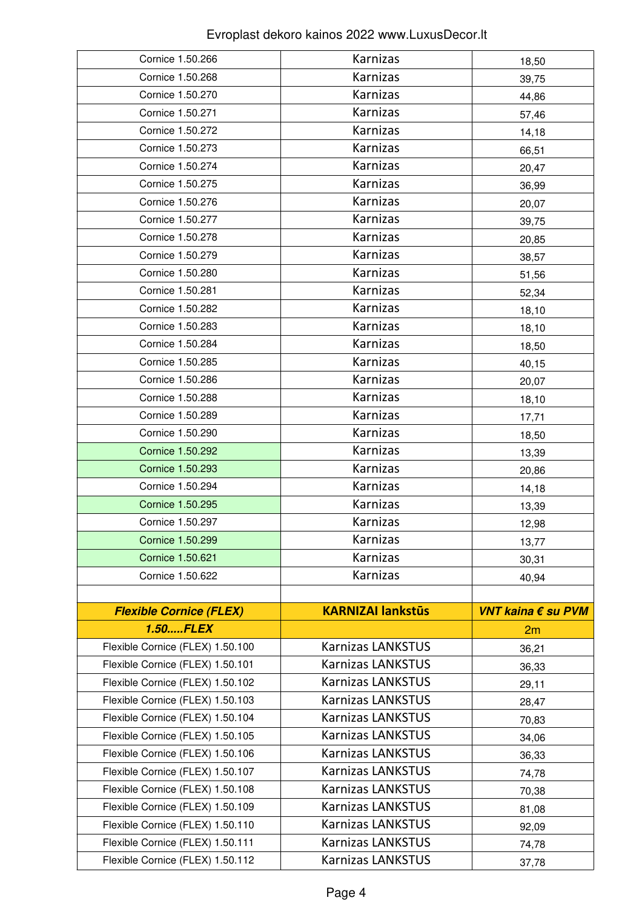| Cornice 1.50.266                 | Karnizas                 | 18,50              |
|----------------------------------|--------------------------|--------------------|
| Cornice 1.50.268                 | Karnizas                 | 39,75              |
| Cornice 1.50.270                 | Karnizas                 | 44,86              |
| Cornice 1.50.271                 | Karnizas                 | 57,46              |
| Cornice 1.50.272                 | Karnizas                 | 14,18              |
| Cornice 1.50.273                 | Karnizas                 | 66,51              |
| Cornice 1.50.274                 | Karnizas                 | 20,47              |
| Cornice 1.50.275                 | Karnizas                 | 36,99              |
| Cornice 1.50.276                 | Karnizas                 | 20,07              |
| Cornice 1.50.277                 | Karnizas                 | 39,75              |
| Cornice 1.50.278                 | Karnizas                 | 20,85              |
| Cornice 1.50.279                 | Karnizas                 | 38,57              |
| Cornice 1.50.280                 | Karnizas                 | 51,56              |
| Cornice 1.50.281                 | Karnizas                 | 52,34              |
| Cornice 1.50.282                 | Karnizas                 | 18,10              |
| Cornice 1.50.283                 | Karnizas                 | 18,10              |
| Cornice 1.50.284                 | Karnizas                 | 18,50              |
| Cornice 1.50.285                 | Karnizas                 | 40,15              |
| Cornice 1.50.286                 | Karnizas                 | 20,07              |
| Cornice 1.50.288                 | Karnizas                 | 18,10              |
| Cornice 1.50.289                 | Karnizas                 | 17,71              |
| Cornice 1.50.290                 | Karnizas                 | 18,50              |
| Cornice 1.50.292                 | Karnizas                 | 13,39              |
| Cornice 1.50.293                 | Karnizas                 | 20,86              |
| Cornice 1.50.294                 | Karnizas                 | 14,18              |
| Cornice 1.50.295                 | Karnizas                 | 13,39              |
| Cornice 1.50.297                 | Karnizas                 | 12,98              |
| Cornice 1.50.299                 | Karnizas                 | 13,77              |
| Cornice 1.50.621                 | Karnizas                 | 30,31              |
| Cornice 1.50.622                 | Karnizas                 | 40,94              |
| <b>Flexible Cornice (FLEX)</b>   | <b>KARNIZAI lankstūs</b> | VNT kaina € su PVM |
| <b>1.50FLEX</b>                  |                          | 2m                 |
| Flexible Cornice (FLEX) 1.50.100 | <b>Karnizas LANKSTUS</b> | 36,21              |
| Flexible Cornice (FLEX) 1.50.101 | <b>Karnizas LANKSTUS</b> | 36,33              |
| Flexible Cornice (FLEX) 1.50.102 | <b>Karnizas LANKSTUS</b> | 29,11              |
| Flexible Cornice (FLEX) 1.50.103 | <b>Karnizas LANKSTUS</b> | 28,47              |
| Flexible Cornice (FLEX) 1.50.104 | <b>Karnizas LANKSTUS</b> | 70,83              |
| Flexible Cornice (FLEX) 1.50.105 | <b>Karnizas LANKSTUS</b> | 34,06              |
| Flexible Cornice (FLEX) 1.50.106 | <b>Karnizas LANKSTUS</b> | 36,33              |
| Flexible Cornice (FLEX) 1.50.107 | <b>Karnizas LANKSTUS</b> | 74,78              |
| Flexible Cornice (FLEX) 1.50.108 | <b>Karnizas LANKSTUS</b> | 70,38              |
| Flexible Cornice (FLEX) 1.50.109 | <b>Karnizas LANKSTUS</b> | 81,08              |
| Flexible Cornice (FLEX) 1.50.110 |                          |                    |
|                                  | <b>Karnizas LANKSTUS</b> | 92,09              |
| Flexible Cornice (FLEX) 1.50.111 | <b>Karnizas LANKSTUS</b> | 74,78              |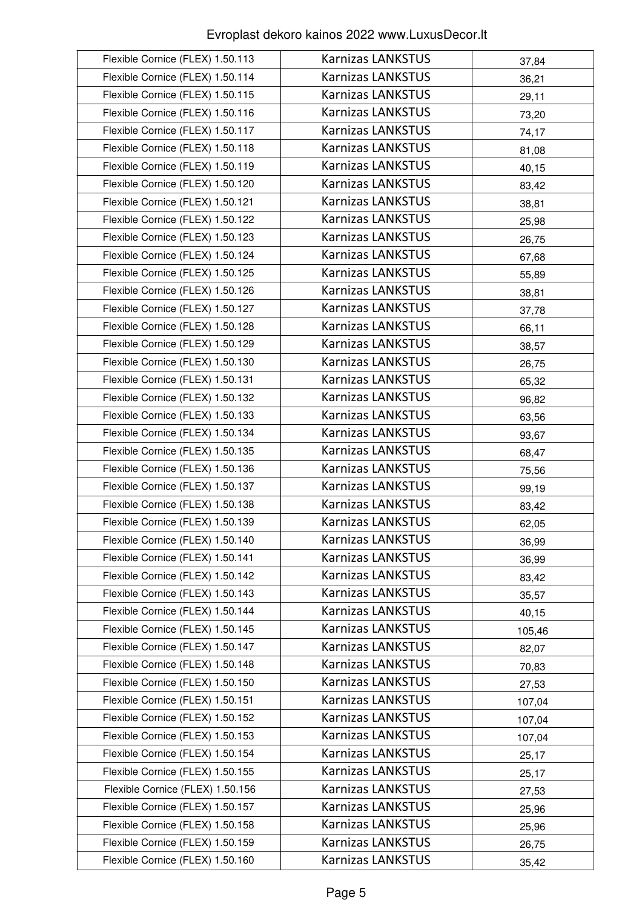| Flexible Cornice (FLEX) 1.50.113 | <b>Karnizas LANKSTUS</b> | 37,84  |
|----------------------------------|--------------------------|--------|
| Flexible Cornice (FLEX) 1.50.114 | <b>Karnizas LANKSTUS</b> | 36,21  |
| Flexible Cornice (FLEX) 1.50.115 | <b>Karnizas LANKSTUS</b> | 29,11  |
| Flexible Cornice (FLEX) 1.50.116 | <b>Karnizas LANKSTUS</b> | 73,20  |
| Flexible Cornice (FLEX) 1.50.117 | <b>Karnizas LANKSTUS</b> | 74,17  |
| Flexible Cornice (FLEX) 1.50.118 | <b>Karnizas LANKSTUS</b> | 81,08  |
| Flexible Cornice (FLEX) 1.50.119 | <b>Karnizas LANKSTUS</b> | 40,15  |
| Flexible Cornice (FLEX) 1.50.120 | <b>Karnizas LANKSTUS</b> | 83,42  |
| Flexible Cornice (FLEX) 1.50.121 | <b>Karnizas LANKSTUS</b> | 38,81  |
| Flexible Cornice (FLEX) 1.50.122 | <b>Karnizas LANKSTUS</b> | 25,98  |
| Flexible Cornice (FLEX) 1.50.123 | <b>Karnizas LANKSTUS</b> | 26,75  |
| Flexible Cornice (FLEX) 1.50.124 | <b>Karnizas LANKSTUS</b> | 67,68  |
| Flexible Cornice (FLEX) 1.50.125 | <b>Karnizas LANKSTUS</b> | 55,89  |
| Flexible Cornice (FLEX) 1.50.126 | <b>Karnizas LANKSTUS</b> | 38,81  |
| Flexible Cornice (FLEX) 1.50.127 | <b>Karnizas LANKSTUS</b> | 37,78  |
| Flexible Cornice (FLEX) 1.50.128 | <b>Karnizas LANKSTUS</b> | 66,11  |
| Flexible Cornice (FLEX) 1.50.129 | <b>Karnizas LANKSTUS</b> | 38,57  |
| Flexible Cornice (FLEX) 1.50.130 | <b>Karnizas LANKSTUS</b> | 26,75  |
| Flexible Cornice (FLEX) 1.50.131 | <b>Karnizas LANKSTUS</b> | 65,32  |
| Flexible Cornice (FLEX) 1.50.132 | <b>Karnizas LANKSTUS</b> | 96,82  |
| Flexible Cornice (FLEX) 1.50.133 | <b>Karnizas LANKSTUS</b> | 63,56  |
| Flexible Cornice (FLEX) 1.50.134 | <b>Karnizas LANKSTUS</b> | 93,67  |
| Flexible Cornice (FLEX) 1.50.135 | <b>Karnizas LANKSTUS</b> | 68,47  |
| Flexible Cornice (FLEX) 1.50.136 | <b>Karnizas LANKSTUS</b> | 75,56  |
| Flexible Cornice (FLEX) 1.50.137 | <b>Karnizas LANKSTUS</b> | 99,19  |
| Flexible Cornice (FLEX) 1.50.138 | <b>Karnizas LANKSTUS</b> | 83,42  |
| Flexible Cornice (FLEX) 1.50.139 | <b>Karnizas LANKSTUS</b> | 62,05  |
| Flexible Cornice (FLEX) 1.50.140 | <b>Karnizas LANKSTUS</b> | 36,99  |
| Flexible Cornice (FLEX) 1.50.141 | <b>Karnizas LANKSTUS</b> | 36,99  |
| Flexible Cornice (FLEX) 1.50.142 | <b>Karnizas LANKSTUS</b> | 83,42  |
| Flexible Cornice (FLEX) 1.50.143 | <b>Karnizas LANKSTUS</b> | 35,57  |
| Flexible Cornice (FLEX) 1.50.144 | <b>Karnizas LANKSTUS</b> | 40,15  |
| Flexible Cornice (FLEX) 1.50.145 | <b>Karnizas LANKSTUS</b> | 105,46 |
| Flexible Cornice (FLEX) 1.50.147 | <b>Karnizas LANKSTUS</b> | 82,07  |
| Flexible Cornice (FLEX) 1.50.148 | <b>Karnizas LANKSTUS</b> | 70,83  |
| Flexible Cornice (FLEX) 1.50.150 | <b>Karnizas LANKSTUS</b> | 27,53  |
| Flexible Cornice (FLEX) 1.50.151 | <b>Karnizas LANKSTUS</b> | 107,04 |
| Flexible Cornice (FLEX) 1.50.152 | <b>Karnizas LANKSTUS</b> | 107,04 |
| Flexible Cornice (FLEX) 1.50.153 | <b>Karnizas LANKSTUS</b> |        |
| Flexible Cornice (FLEX) 1.50.154 | <b>Karnizas LANKSTUS</b> | 107,04 |
| Flexible Cornice (FLEX) 1.50.155 | <b>Karnizas LANKSTUS</b> | 25,17  |
| Flexible Cornice (FLEX) 1.50.156 | <b>Karnizas LANKSTUS</b> | 25,17  |
| Flexible Cornice (FLEX) 1.50.157 | <b>Karnizas LANKSTUS</b> | 27,53  |
| Flexible Cornice (FLEX) 1.50.158 | <b>Karnizas LANKSTUS</b> | 25,96  |
| Flexible Cornice (FLEX) 1.50.159 | <b>Karnizas LANKSTUS</b> | 25,96  |
|                                  | <b>Karnizas LANKSTUS</b> | 26,75  |
| Flexible Cornice (FLEX) 1.50.160 |                          | 35,42  |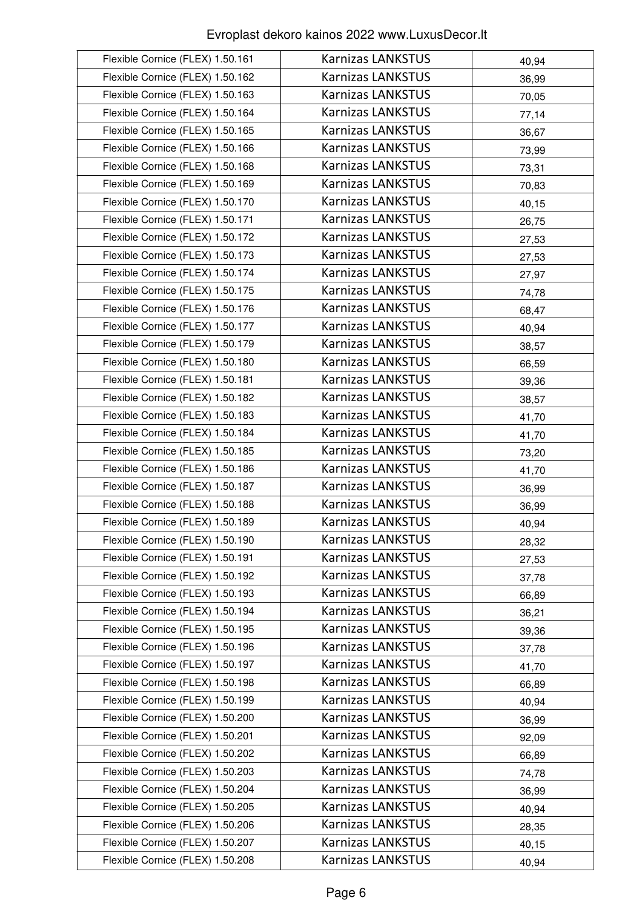| Flexible Cornice (FLEX) 1.50.161 | <b>Karnizas LANKSTUS</b> | 40,94 |
|----------------------------------|--------------------------|-------|
| Flexible Cornice (FLEX) 1.50.162 | <b>Karnizas LANKSTUS</b> | 36,99 |
| Flexible Cornice (FLEX) 1.50.163 | <b>Karnizas LANKSTUS</b> | 70,05 |
| Flexible Cornice (FLEX) 1.50.164 | <b>Karnizas LANKSTUS</b> | 77,14 |
| Flexible Cornice (FLEX) 1.50.165 | <b>Karnizas LANKSTUS</b> | 36,67 |
| Flexible Cornice (FLEX) 1.50.166 | <b>Karnizas LANKSTUS</b> | 73,99 |
| Flexible Cornice (FLEX) 1.50.168 | <b>Karnizas LANKSTUS</b> | 73,31 |
| Flexible Cornice (FLEX) 1.50.169 | <b>Karnizas LANKSTUS</b> | 70,83 |
| Flexible Cornice (FLEX) 1.50.170 | <b>Karnizas LANKSTUS</b> | 40,15 |
| Flexible Cornice (FLEX) 1.50.171 | <b>Karnizas LANKSTUS</b> | 26,75 |
| Flexible Cornice (FLEX) 1.50.172 | <b>Karnizas LANKSTUS</b> | 27,53 |
| Flexible Cornice (FLEX) 1.50.173 | <b>Karnizas LANKSTUS</b> | 27,53 |
| Flexible Cornice (FLEX) 1.50.174 | <b>Karnizas LANKSTUS</b> | 27,97 |
| Flexible Cornice (FLEX) 1.50.175 | <b>Karnizas LANKSTUS</b> | 74,78 |
| Flexible Cornice (FLEX) 1.50.176 | <b>Karnizas LANKSTUS</b> | 68,47 |
| Flexible Cornice (FLEX) 1.50.177 | <b>Karnizas LANKSTUS</b> | 40,94 |
| Flexible Cornice (FLEX) 1.50.179 | <b>Karnizas LANKSTUS</b> | 38,57 |
| Flexible Cornice (FLEX) 1.50.180 | <b>Karnizas LANKSTUS</b> | 66,59 |
| Flexible Cornice (FLEX) 1.50.181 | <b>Karnizas LANKSTUS</b> | 39,36 |
| Flexible Cornice (FLEX) 1.50.182 | <b>Karnizas LANKSTUS</b> | 38,57 |
| Flexible Cornice (FLEX) 1.50.183 | <b>Karnizas LANKSTUS</b> | 41,70 |
| Flexible Cornice (FLEX) 1.50.184 | <b>Karnizas LANKSTUS</b> | 41,70 |
| Flexible Cornice (FLEX) 1.50.185 | <b>Karnizas LANKSTUS</b> | 73,20 |
| Flexible Cornice (FLEX) 1.50.186 | <b>Karnizas LANKSTUS</b> | 41,70 |
| Flexible Cornice (FLEX) 1.50.187 | <b>Karnizas LANKSTUS</b> | 36,99 |
| Flexible Cornice (FLEX) 1.50.188 | <b>Karnizas LANKSTUS</b> | 36,99 |
| Flexible Cornice (FLEX) 1.50.189 | <b>Karnizas LANKSTUS</b> | 40,94 |
| Flexible Cornice (FLEX) 1.50.190 | <b>Karnizas LANKSTUS</b> | 28,32 |
| Flexible Cornice (FLEX) 1.50.191 | <b>Karnizas LANKSTUS</b> | 27,53 |
| Flexible Cornice (FLEX) 1.50.192 | <b>Karnizas LANKSTUS</b> | 37,78 |
| Flexible Cornice (FLEX) 1.50.193 | <b>Karnizas LANKSTUS</b> | 66,89 |
| Flexible Cornice (FLEX) 1.50.194 | <b>Karnizas LANKSTUS</b> | 36,21 |
| Flexible Cornice (FLEX) 1.50.195 | <b>Karnizas LANKSTUS</b> | 39,36 |
| Flexible Cornice (FLEX) 1.50.196 | <b>Karnizas LANKSTUS</b> | 37,78 |
| Flexible Cornice (FLEX) 1.50.197 | <b>Karnizas LANKSTUS</b> | 41,70 |
| Flexible Cornice (FLEX) 1.50.198 | <b>Karnizas LANKSTUS</b> | 66,89 |
| Flexible Cornice (FLEX) 1.50.199 | <b>Karnizas LANKSTUS</b> | 40,94 |
| Flexible Cornice (FLEX) 1.50.200 | <b>Karnizas LANKSTUS</b> | 36,99 |
| Flexible Cornice (FLEX) 1.50.201 | <b>Karnizas LANKSTUS</b> | 92,09 |
| Flexible Cornice (FLEX) 1.50.202 | <b>Karnizas LANKSTUS</b> | 66,89 |
| Flexible Cornice (FLEX) 1.50.203 | <b>Karnizas LANKSTUS</b> | 74,78 |
| Flexible Cornice (FLEX) 1.50.204 | <b>Karnizas LANKSTUS</b> | 36,99 |
| Flexible Cornice (FLEX) 1.50.205 | <b>Karnizas LANKSTUS</b> | 40,94 |
| Flexible Cornice (FLEX) 1.50.206 | <b>Karnizas LANKSTUS</b> | 28,35 |
| Flexible Cornice (FLEX) 1.50.207 | <b>Karnizas LANKSTUS</b> | 40,15 |
| Flexible Cornice (FLEX) 1.50.208 | <b>Karnizas LANKSTUS</b> | 40,94 |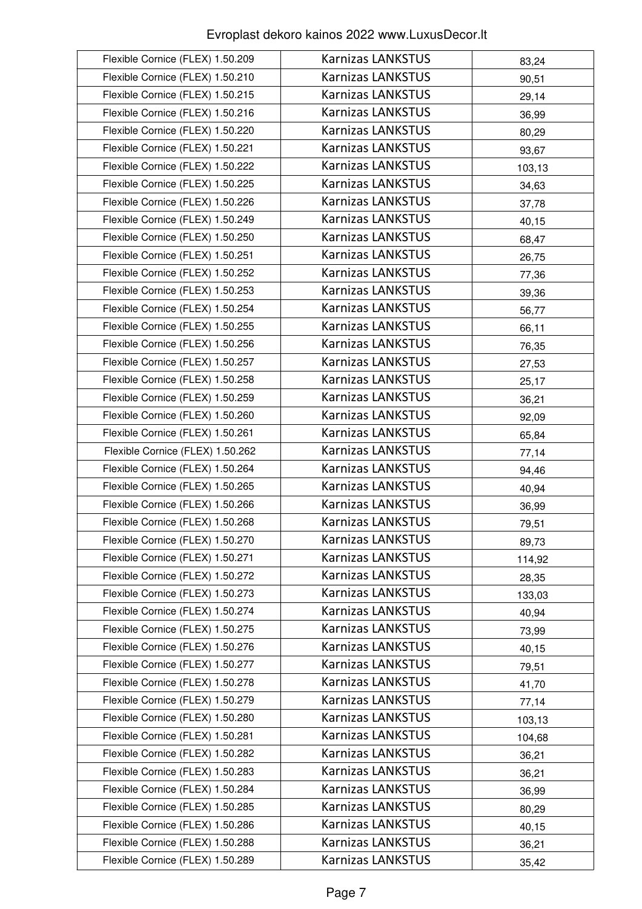| Flexible Cornice (FLEX) 1.50.209 | <b>Karnizas LANKSTUS</b> | 83,24  |
|----------------------------------|--------------------------|--------|
| Flexible Cornice (FLEX) 1.50.210 | <b>Karnizas LANKSTUS</b> | 90,51  |
| Flexible Cornice (FLEX) 1.50.215 | <b>Karnizas LANKSTUS</b> | 29,14  |
| Flexible Cornice (FLEX) 1.50.216 | <b>Karnizas LANKSTUS</b> | 36,99  |
| Flexible Cornice (FLEX) 1.50.220 | <b>Karnizas LANKSTUS</b> | 80,29  |
| Flexible Cornice (FLEX) 1.50.221 | <b>Karnizas LANKSTUS</b> | 93,67  |
| Flexible Cornice (FLEX) 1.50.222 | <b>Karnizas LANKSTUS</b> | 103,13 |
| Flexible Cornice (FLEX) 1.50.225 | <b>Karnizas LANKSTUS</b> | 34,63  |
| Flexible Cornice (FLEX) 1.50.226 | <b>Karnizas LANKSTUS</b> | 37,78  |
| Flexible Cornice (FLEX) 1.50.249 | <b>Karnizas LANKSTUS</b> | 40,15  |
| Flexible Cornice (FLEX) 1.50.250 | <b>Karnizas LANKSTUS</b> | 68,47  |
| Flexible Cornice (FLEX) 1.50.251 | <b>Karnizas LANKSTUS</b> | 26,75  |
| Flexible Cornice (FLEX) 1.50.252 | <b>Karnizas LANKSTUS</b> | 77,36  |
| Flexible Cornice (FLEX) 1.50.253 | <b>Karnizas LANKSTUS</b> | 39,36  |
| Flexible Cornice (FLEX) 1.50.254 | <b>Karnizas LANKSTUS</b> | 56,77  |
| Flexible Cornice (FLEX) 1.50.255 | <b>Karnizas LANKSTUS</b> | 66,11  |
| Flexible Cornice (FLEX) 1.50.256 | <b>Karnizas LANKSTUS</b> | 76,35  |
| Flexible Cornice (FLEX) 1.50.257 | <b>Karnizas LANKSTUS</b> | 27,53  |
| Flexible Cornice (FLEX) 1.50.258 | <b>Karnizas LANKSTUS</b> | 25,17  |
| Flexible Cornice (FLEX) 1.50.259 | <b>Karnizas LANKSTUS</b> | 36,21  |
| Flexible Cornice (FLEX) 1.50.260 | <b>Karnizas LANKSTUS</b> | 92,09  |
| Flexible Cornice (FLEX) 1.50.261 | <b>Karnizas LANKSTUS</b> | 65,84  |
| Flexible Cornice (FLEX) 1.50.262 | <b>Karnizas LANKSTUS</b> | 77,14  |
| Flexible Cornice (FLEX) 1.50.264 | <b>Karnizas LANKSTUS</b> | 94,46  |
| Flexible Cornice (FLEX) 1.50.265 | <b>Karnizas LANKSTUS</b> | 40,94  |
| Flexible Cornice (FLEX) 1.50.266 | <b>Karnizas LANKSTUS</b> | 36,99  |
| Flexible Cornice (FLEX) 1.50.268 | <b>Karnizas LANKSTUS</b> | 79,51  |
| Flexible Cornice (FLEX) 1.50.270 | <b>Karnizas LANKSTUS</b> | 89,73  |
| Flexible Cornice (FLEX) 1.50.271 | <b>Karnizas LANKSTUS</b> | 114,92 |
| Flexible Cornice (FLEX) 1.50.272 | <b>Karnizas LANKSTUS</b> | 28,35  |
| Flexible Cornice (FLEX) 1.50.273 | <b>Karnizas LANKSTUS</b> | 133,03 |
| Flexible Cornice (FLEX) 1.50.274 | <b>Karnizas LANKSTUS</b> | 40,94  |
| Flexible Cornice (FLEX) 1.50.275 | <b>Karnizas LANKSTUS</b> | 73,99  |
| Flexible Cornice (FLEX) 1.50.276 | <b>Karnizas LANKSTUS</b> | 40,15  |
| Flexible Cornice (FLEX) 1.50.277 | <b>Karnizas LANKSTUS</b> | 79,51  |
| Flexible Cornice (FLEX) 1.50.278 | <b>Karnizas LANKSTUS</b> | 41,70  |
| Flexible Cornice (FLEX) 1.50.279 | <b>Karnizas LANKSTUS</b> | 77,14  |
| Flexible Cornice (FLEX) 1.50.280 | <b>Karnizas LANKSTUS</b> | 103,13 |
| Flexible Cornice (FLEX) 1.50.281 | <b>Karnizas LANKSTUS</b> | 104,68 |
| Flexible Cornice (FLEX) 1.50.282 | <b>Karnizas LANKSTUS</b> | 36,21  |
| Flexible Cornice (FLEX) 1.50.283 | <b>Karnizas LANKSTUS</b> | 36,21  |
| Flexible Cornice (FLEX) 1.50.284 | <b>Karnizas LANKSTUS</b> | 36,99  |
| Flexible Cornice (FLEX) 1.50.285 | <b>Karnizas LANKSTUS</b> | 80,29  |
| Flexible Cornice (FLEX) 1.50.286 | <b>Karnizas LANKSTUS</b> | 40,15  |
| Flexible Cornice (FLEX) 1.50.288 | <b>Karnizas LANKSTUS</b> | 36,21  |
| Flexible Cornice (FLEX) 1.50.289 | Karnizas LANKSTUS        | 35,42  |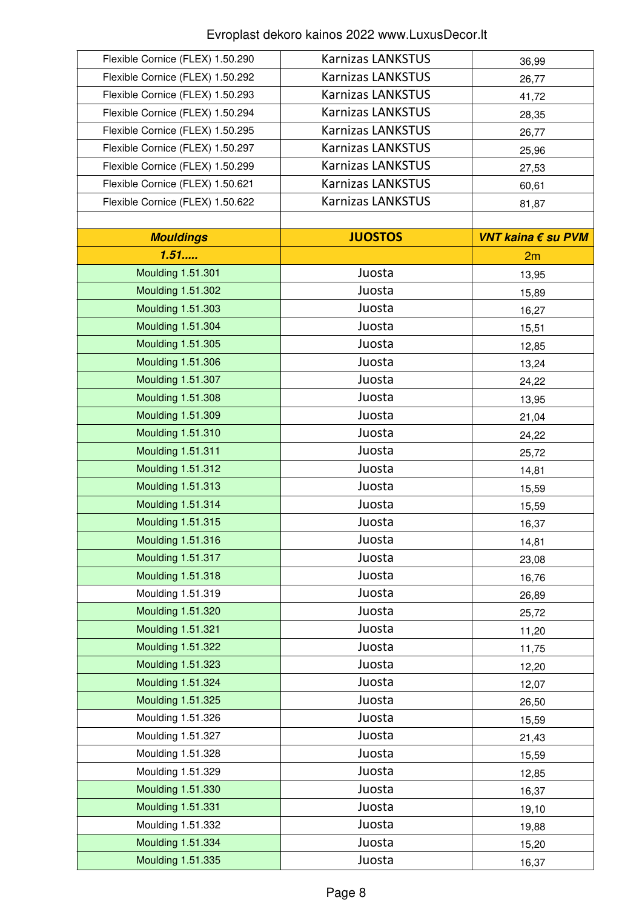| Flexible Cornice (FLEX) 1.50.290 | <b>Karnizas LANKSTUS</b> | 36,99              |
|----------------------------------|--------------------------|--------------------|
| Flexible Cornice (FLEX) 1.50.292 | <b>Karnizas LANKSTUS</b> | 26,77              |
| Flexible Cornice (FLEX) 1.50.293 | <b>Karnizas LANKSTUS</b> | 41,72              |
| Flexible Cornice (FLEX) 1.50.294 | <b>Karnizas LANKSTUS</b> | 28,35              |
| Flexible Cornice (FLEX) 1.50.295 | <b>Karnizas LANKSTUS</b> | 26,77              |
| Flexible Cornice (FLEX) 1.50.297 | <b>Karnizas LANKSTUS</b> | 25,96              |
| Flexible Cornice (FLEX) 1.50.299 | <b>Karnizas LANKSTUS</b> | 27,53              |
| Flexible Cornice (FLEX) 1.50.621 | <b>Karnizas LANKSTUS</b> | 60,61              |
| Flexible Cornice (FLEX) 1.50.622 | <b>Karnizas LANKSTUS</b> | 81,87              |
|                                  |                          |                    |
| <b>Mouldings</b>                 | <b>JUOSTOS</b>           | VNT kaina € su PVM |
| 1.51                             |                          | 2m                 |
| <b>Moulding 1.51.301</b>         | Juosta                   | 13,95              |
| Moulding 1.51.302                | Juosta                   | 15,89              |
| Moulding 1.51.303                | Juosta                   | 16,27              |
| Moulding 1.51.304                | Juosta                   | 15,51              |
| Moulding 1.51.305                | Juosta                   | 12,85              |
| Moulding 1.51.306                | Juosta                   | 13,24              |
| Moulding 1.51.307                | Juosta                   | 24,22              |
| <b>Moulding 1.51.308</b>         | Juosta                   | 13,95              |
| Moulding 1.51.309                | Juosta                   | 21,04              |
| Moulding 1.51.310                | Juosta                   | 24,22              |
| <b>Moulding 1.51.311</b>         | Juosta                   | 25,72              |
| <b>Moulding 1.51.312</b>         | Juosta                   | 14,81              |
| Moulding 1.51.313                | Juosta                   | 15,59              |
| Moulding 1.51.314                | Juosta                   | 15,59              |
| <b>Moulding 1.51.315</b>         | Juosta                   | 16,37              |
| <b>Moulding 1.51.316</b>         | Juosta                   | 14,81              |
| Moulding 1.51.317                | Juosta                   | 23,08              |
| Moulding 1.51.318                | Juosta                   | 16,76              |
| Moulding 1.51.319                | Juosta                   | 26,89              |
| Moulding 1.51.320                | Juosta                   | 25,72              |
| Moulding 1.51.321                | Juosta                   | 11,20              |
| Moulding 1.51.322                | Juosta                   | 11,75              |
| Moulding 1.51.323                | Juosta                   | 12,20              |
| Moulding 1.51.324                | Juosta                   | 12,07              |
| Moulding 1.51.325                | Juosta                   | 26,50              |
| Moulding 1.51.326                | Juosta                   | 15,59              |
| Moulding 1.51.327                | Juosta                   | 21,43              |
| Moulding 1.51.328                | Juosta                   | 15,59              |
| Moulding 1.51.329                | Juosta                   | 12,85              |
| Moulding 1.51.330                | Juosta                   | 16,37              |
| <b>Moulding 1.51.331</b>         | Juosta                   | 19,10              |
| Moulding 1.51.332                | Juosta                   | 19,88              |
| Moulding 1.51.334                | Juosta                   | 15,20              |
| Moulding 1.51.335                | Juosta                   | 16,37              |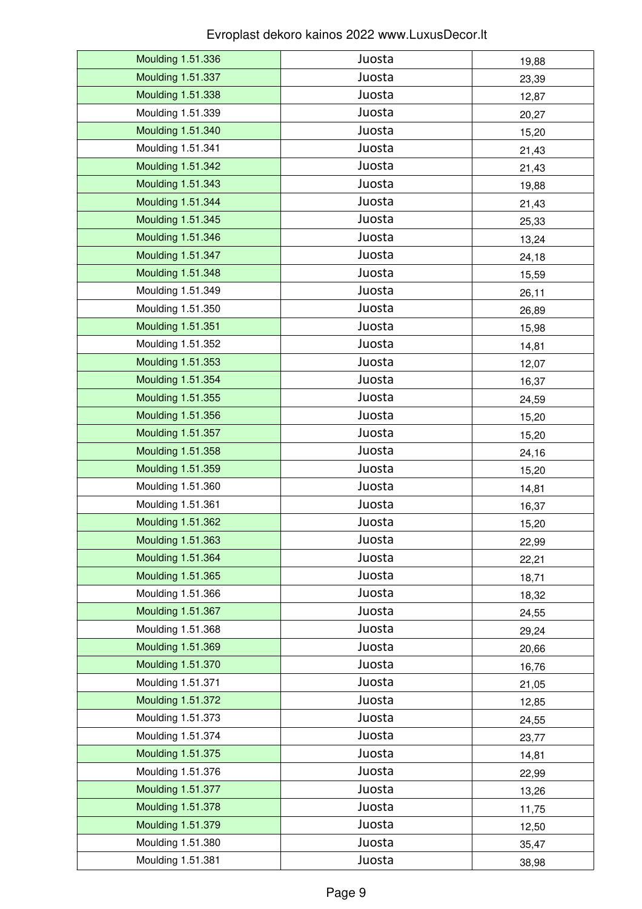| Moulding 1.51.336        | Juosta | 19,88 |
|--------------------------|--------|-------|
| Moulding 1.51.337        | Juosta | 23,39 |
| Moulding 1.51.338        | Juosta | 12,87 |
| Moulding 1.51.339        | Juosta | 20,27 |
| Moulding 1.51.340        | Juosta | 15,20 |
| Moulding 1.51.341        | Juosta | 21,43 |
| <b>Moulding 1.51.342</b> | Juosta | 21,43 |
| Moulding 1.51.343        | Juosta | 19,88 |
| Moulding 1.51.344        | Juosta | 21,43 |
| Moulding 1.51.345        | Juosta | 25,33 |
| Moulding 1.51.346        | Juosta | 13,24 |
| Moulding 1.51.347        | Juosta | 24,18 |
| Moulding 1.51.348        | Juosta | 15,59 |
| Moulding 1.51.349        | Juosta | 26,11 |
| Moulding 1.51.350        | Juosta | 26,89 |
| <b>Moulding 1.51.351</b> | Juosta | 15,98 |
| Moulding 1.51.352        | Juosta | 14,81 |
| Moulding 1.51.353        | Juosta | 12,07 |
| Moulding 1.51.354        | Juosta | 16,37 |
| Moulding 1.51.355        | Juosta | 24,59 |
| Moulding 1.51.356        | Juosta | 15,20 |
| Moulding 1.51.357        | Juosta | 15,20 |
| Moulding 1.51.358        | Juosta | 24,16 |
| Moulding 1.51.359        | Juosta | 15,20 |
| Moulding 1.51.360        | Juosta | 14,81 |
| Moulding 1.51.361        | Juosta | 16,37 |
| Moulding 1.51.362        | Juosta | 15,20 |
| Moulding 1.51.363        | Juosta | 22,99 |
| Moulding 1.51.364        | Juosta | 22,21 |
| Moulding 1.51.365        | Juosta | 18,71 |
| Moulding 1.51.366        | Juosta | 18,32 |
| Moulding 1.51.367        | Juosta | 24,55 |
| Moulding 1.51.368        | Juosta | 29,24 |
| Moulding 1.51.369        | Juosta | 20,66 |
| <b>Moulding 1.51.370</b> | Juosta | 16,76 |
| Moulding 1.51.371        | Juosta | 21,05 |
| <b>Moulding 1.51.372</b> | Juosta | 12,85 |
| Moulding 1.51.373        | Juosta | 24,55 |
| Moulding 1.51.374        | Juosta | 23,77 |
| <b>Moulding 1.51.375</b> | Juosta | 14,81 |
| Moulding 1.51.376        | Juosta | 22,99 |
| Moulding 1.51.377        | Juosta | 13,26 |
| <b>Moulding 1.51.378</b> | Juosta | 11,75 |
| Moulding 1.51.379        | Juosta | 12,50 |
| Moulding 1.51.380        | Juosta | 35,47 |
| Moulding 1.51.381        | Juosta | 38,98 |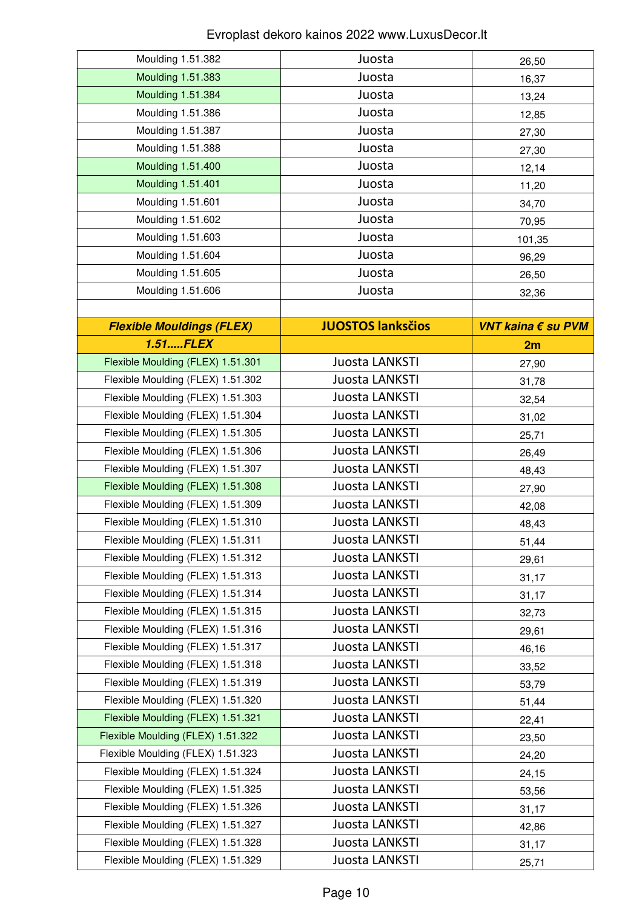| Moulding 1.51.382                 | Juosta                   | 26,50              |
|-----------------------------------|--------------------------|--------------------|
| Moulding 1.51.383                 | Juosta                   | 16,37              |
| Moulding 1.51.384                 | Juosta                   | 13,24              |
| Moulding 1.51.386                 | Juosta                   | 12,85              |
| Moulding 1.51.387                 | Juosta                   | 27,30              |
| Moulding 1.51.388                 | Juosta                   | 27,30              |
| Moulding 1.51.400                 | Juosta                   | 12,14              |
| <b>Moulding 1.51.401</b>          | Juosta                   | 11,20              |
| Moulding 1.51.601                 | Juosta                   | 34,70              |
| Moulding 1.51.602                 | Juosta                   | 70,95              |
| Moulding 1.51.603                 | Juosta                   | 101,35             |
| Moulding 1.51.604                 | Juosta                   | 96,29              |
| Moulding 1.51.605                 | Juosta                   | 26,50              |
| Moulding 1.51.606                 | Juosta                   | 32,36              |
|                                   |                          |                    |
| <b>Flexible Mouldings (FLEX)</b>  | <b>JUOSTOS lanksčios</b> | VNT kaina € su PVM |
| $1.51$ $FLEX$                     |                          | 2m                 |
| Flexible Moulding (FLEX) 1.51.301 | Juosta LANKSTI           | 27,90              |
| Flexible Moulding (FLEX) 1.51.302 | Juosta LANKSTI           | 31,78              |
| Flexible Moulding (FLEX) 1.51.303 | Juosta LANKSTI           | 32,54              |
| Flexible Moulding (FLEX) 1.51.304 | Juosta LANKSTI           | 31,02              |
| Flexible Moulding (FLEX) 1.51.305 | Juosta LANKSTI           | 25,71              |
| Flexible Moulding (FLEX) 1.51.306 | Juosta LANKSTI           | 26,49              |
| Flexible Moulding (FLEX) 1.51.307 | Juosta LANKSTI           | 48,43              |
| Flexible Moulding (FLEX) 1.51.308 | Juosta LANKSTI           | 27,90              |
| Flexible Moulding (FLEX) 1.51.309 | Juosta LANKSTI           | 42,08              |
| Flexible Moulding (FLEX) 1.51.310 | Juosta LANKSTI           | 48,43              |
| Flexible Moulding (FLEX) 1.51.311 | Juosta LANKSTI           | 51,44              |
| Flexible Moulding (FLEX) 1.51.312 | Juosta LANKSTI           | 29,61              |
| Flexible Moulding (FLEX) 1.51.313 | Juosta LANKSTI           | 31,17              |
| Flexible Moulding (FLEX) 1.51.314 | Juosta LANKSTI           | 31,17              |
| Flexible Moulding (FLEX) 1.51.315 | Juosta LANKSTI           | 32,73              |
| Flexible Moulding (FLEX) 1.51.316 | Juosta LANKSTI           | 29,61              |
| Flexible Moulding (FLEX) 1.51.317 | Juosta LANKSTI           | 46,16              |
| Flexible Moulding (FLEX) 1.51.318 | Juosta LANKSTI           | 33,52              |
| Flexible Moulding (FLEX) 1.51.319 | Juosta LANKSTI           | 53,79              |
| Flexible Moulding (FLEX) 1.51.320 | Juosta LANKSTI           | 51,44              |
| Flexible Moulding (FLEX) 1.51.321 | Juosta LANKSTI           | 22,41              |
| Flexible Moulding (FLEX) 1.51.322 | Juosta LANKSTI           | 23,50              |
| Flexible Moulding (FLEX) 1.51.323 | Juosta LANKSTI           | 24,20              |
| Flexible Moulding (FLEX) 1.51.324 | Juosta LANKSTI           | 24,15              |
| Flexible Moulding (FLEX) 1.51.325 | Juosta LANKSTI           | 53,56              |
| Flexible Moulding (FLEX) 1.51.326 | Juosta LANKSTI           | 31,17              |
| Flexible Moulding (FLEX) 1.51.327 | Juosta LANKSTI           | 42,86              |
| Flexible Moulding (FLEX) 1.51.328 | Juosta LANKSTI           | 31,17              |
| Flexible Moulding (FLEX) 1.51.329 | Juosta LANKSTI           | 25,71              |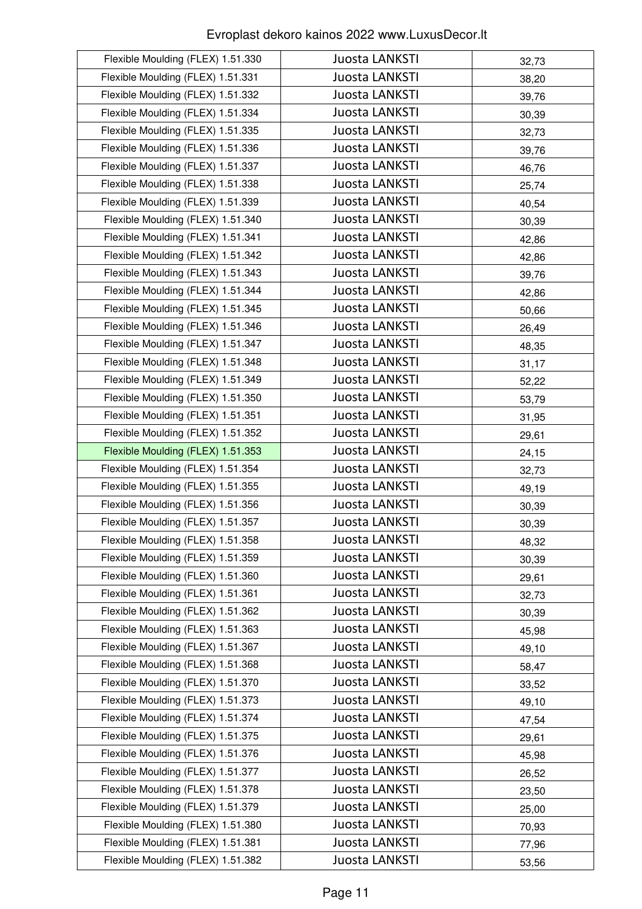| Flexible Moulding (FLEX) 1.51.330 | Juosta LANKSTI        | 32,73 |
|-----------------------------------|-----------------------|-------|
| Flexible Moulding (FLEX) 1.51.331 | Juosta LANKSTI        | 38,20 |
| Flexible Moulding (FLEX) 1.51.332 | Juosta LANKSTI        | 39,76 |
| Flexible Moulding (FLEX) 1.51.334 | Juosta LANKSTI        | 30,39 |
| Flexible Moulding (FLEX) 1.51.335 | Juosta LANKSTI        | 32,73 |
| Flexible Moulding (FLEX) 1.51.336 | Juosta LANKSTI        | 39,76 |
| Flexible Moulding (FLEX) 1.51.337 | <b>Juosta LANKSTI</b> | 46,76 |
| Flexible Moulding (FLEX) 1.51.338 | Juosta LANKSTI        | 25,74 |
| Flexible Moulding (FLEX) 1.51.339 | Juosta LANKSTI        | 40,54 |
| Flexible Moulding (FLEX) 1.51.340 | Juosta LANKSTI        | 30,39 |
| Flexible Moulding (FLEX) 1.51.341 | Juosta LANKSTI        | 42,86 |
| Flexible Moulding (FLEX) 1.51.342 | Juosta LANKSTI        | 42,86 |
| Flexible Moulding (FLEX) 1.51.343 | Juosta LANKSTI        | 39,76 |
| Flexible Moulding (FLEX) 1.51.344 | Juosta LANKSTI        | 42,86 |
| Flexible Moulding (FLEX) 1.51.345 | Juosta LANKSTI        | 50,66 |
| Flexible Moulding (FLEX) 1.51.346 | Juosta LANKSTI        | 26,49 |
| Flexible Moulding (FLEX) 1.51.347 | Juosta LANKSTI        | 48,35 |
| Flexible Moulding (FLEX) 1.51.348 | <b>Juosta LANKSTI</b> | 31,17 |
| Flexible Moulding (FLEX) 1.51.349 | Juosta LANKSTI        | 52,22 |
| Flexible Moulding (FLEX) 1.51.350 | Juosta LANKSTI        | 53,79 |
| Flexible Moulding (FLEX) 1.51.351 | Juosta LANKSTI        | 31,95 |
| Flexible Moulding (FLEX) 1.51.352 | Juosta LANKSTI        | 29,61 |
| Flexible Moulding (FLEX) 1.51.353 | Juosta LANKSTI        | 24,15 |
| Flexible Moulding (FLEX) 1.51.354 | Juosta LANKSTI        | 32,73 |
| Flexible Moulding (FLEX) 1.51.355 | Juosta LANKSTI        | 49,19 |
| Flexible Moulding (FLEX) 1.51.356 | Juosta LANKSTI        | 30,39 |
| Flexible Moulding (FLEX) 1.51.357 | Juosta LANKSTI        | 30,39 |
| Flexible Moulding (FLEX) 1.51.358 | Juosta LANKSTI        | 48,32 |
| Flexible Moulding (FLEX) 1.51.359 | Juosta LANKSTI        | 30,39 |
| Flexible Moulding (FLEX) 1.51.360 | Juosta LANKSTI        | 29,61 |
| Flexible Moulding (FLEX) 1.51.361 | Juosta LANKSTI        | 32,73 |
| Flexible Moulding (FLEX) 1.51.362 | Juosta LANKSTI        | 30,39 |
| Flexible Moulding (FLEX) 1.51.363 | Juosta LANKSTI        | 45,98 |
| Flexible Moulding (FLEX) 1.51.367 | <b>Juosta LANKSTI</b> | 49,10 |
| Flexible Moulding (FLEX) 1.51.368 | Juosta LANKSTI        | 58,47 |
| Flexible Moulding (FLEX) 1.51.370 | Juosta LANKSTI        | 33,52 |
| Flexible Moulding (FLEX) 1.51.373 | Juosta LANKSTI        | 49,10 |
| Flexible Moulding (FLEX) 1.51.374 | Juosta LANKSTI        | 47,54 |
| Flexible Moulding (FLEX) 1.51.375 | Juosta LANKSTI        | 29,61 |
| Flexible Moulding (FLEX) 1.51.376 | Juosta LANKSTI        | 45,98 |
| Flexible Moulding (FLEX) 1.51.377 | Juosta LANKSTI        | 26,52 |
| Flexible Moulding (FLEX) 1.51.378 | Juosta LANKSTI        | 23,50 |
| Flexible Moulding (FLEX) 1.51.379 | Juosta LANKSTI        | 25,00 |
| Flexible Moulding (FLEX) 1.51.380 | Juosta LANKSTI        | 70,93 |
| Flexible Moulding (FLEX) 1.51.381 | Juosta LANKSTI        | 77,96 |
| Flexible Moulding (FLEX) 1.51.382 | Juosta LANKSTI        | 53,56 |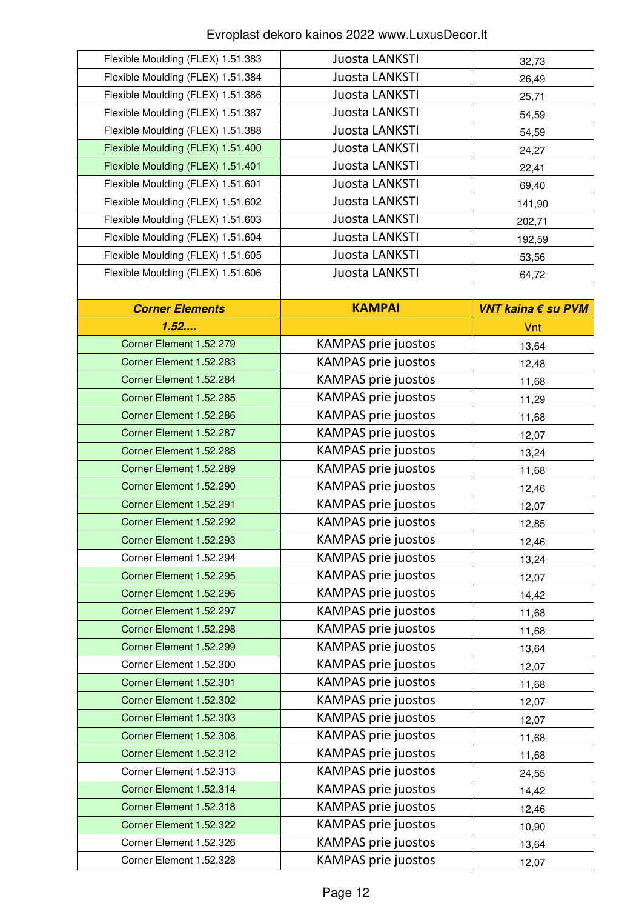| Flexible Moulding (FLEX) 1.51.383 | Juosta LANKSTI             | 32,73              |
|-----------------------------------|----------------------------|--------------------|
| Flexible Moulding (FLEX) 1.51.384 | Juosta LANKSTI             | 26,49              |
| Flexible Moulding (FLEX) 1.51.386 | Juosta LANKSTI             | 25,71              |
| Flexible Moulding (FLEX) 1.51.387 | Juosta LANKSTI             | 54,59              |
| Flexible Moulding (FLEX) 1.51.388 | Juosta LANKSTI             | 54,59              |
| Flexible Moulding (FLEX) 1.51.400 | Juosta LANKSTI             | 24,27              |
| Flexible Moulding (FLEX) 1.51.401 | Juosta LANKSTI             | 22,41              |
| Flexible Moulding (FLEX) 1.51.601 | Juosta LANKSTI             | 69,40              |
| Flexible Moulding (FLEX) 1.51.602 | Juosta LANKSTI             | 141,90             |
| Flexible Moulding (FLEX) 1.51.603 | Juosta LANKSTI             | 202,71             |
| Flexible Moulding (FLEX) 1.51.604 | Juosta LANKSTI             | 192,59             |
| Flexible Moulding (FLEX) 1.51.605 | Juosta LANKSTI             | 53,56              |
| Flexible Moulding (FLEX) 1.51.606 | Juosta LANKSTI             | 64,72              |
|                                   |                            |                    |
| <b>Corner Elements</b>            | <b>KAMPAI</b>              | VNT kaina € su PVM |
| 1.52                              |                            | Vnt                |
| Corner Element 1.52.279           | <b>KAMPAS prie juostos</b> | 13,64              |
| Corner Element 1.52.283           | <b>KAMPAS prie juostos</b> | 12,48              |
| Corner Element 1.52.284           | <b>KAMPAS prie juostos</b> | 11,68              |
| Corner Element 1.52.285           | KAMPAS prie juostos        | 11,29              |
| Corner Element 1.52.286           | <b>KAMPAS prie juostos</b> | 11,68              |
| Corner Element 1.52.287           | <b>KAMPAS prie juostos</b> | 12,07              |
| Corner Element 1.52.288           | <b>KAMPAS prie juostos</b> | 13,24              |
| Corner Element 1.52.289           | <b>KAMPAS prie juostos</b> | 11,68              |
| Corner Element 1.52.290           | <b>KAMPAS prie juostos</b> | 12,46              |
| Corner Element 1.52.291           | <b>KAMPAS prie juostos</b> | 12,07              |
| Corner Element 1.52.292           | <b>KAMPAS prie juostos</b> | 12,85              |
| Corner Element 1.52.293           | <b>KAMPAS prie juostos</b> | 12,46              |
| Corner Element 1.52.294           | <b>KAMPAS prie juostos</b> | 13,24              |
| Corner Element 1.52.295           | <b>KAMPAS prie juostos</b> | 12,07              |
| Corner Element 1.52.296           | <b>KAMPAS prie juostos</b> | 14,42              |
| Corner Element 1.52.297           | <b>KAMPAS prie juostos</b> | 11,68              |
| Corner Element 1.52.298           | <b>KAMPAS prie juostos</b> | 11,68              |
| Corner Element 1.52.299           | <b>KAMPAS prie juostos</b> | 13,64              |
| Corner Element 1.52.300           | <b>KAMPAS prie juostos</b> | 12,07              |
| Corner Element 1.52.301           | <b>KAMPAS prie juostos</b> | 11,68              |
| Corner Element 1.52.302           | <b>KAMPAS prie juostos</b> | 12,07              |
| Corner Element 1.52.303           | <b>KAMPAS prie juostos</b> | 12,07              |
| Corner Element 1.52.308           | <b>KAMPAS prie juostos</b> | 11,68              |
| Corner Element 1.52.312           | <b>KAMPAS prie juostos</b> | 11,68              |
| Corner Element 1.52.313           | <b>KAMPAS prie juostos</b> | 24,55              |
| Corner Element 1.52.314           | <b>KAMPAS prie juostos</b> | 14,42              |
| Corner Element 1.52.318           | <b>KAMPAS prie juostos</b> | 12,46              |
| Corner Element 1.52.322           | <b>KAMPAS prie juostos</b> | 10,90              |
| Corner Element 1.52.326           | <b>KAMPAS prie juostos</b> | 13,64              |
| Corner Element 1.52.328           | <b>KAMPAS prie juostos</b> | 12,07              |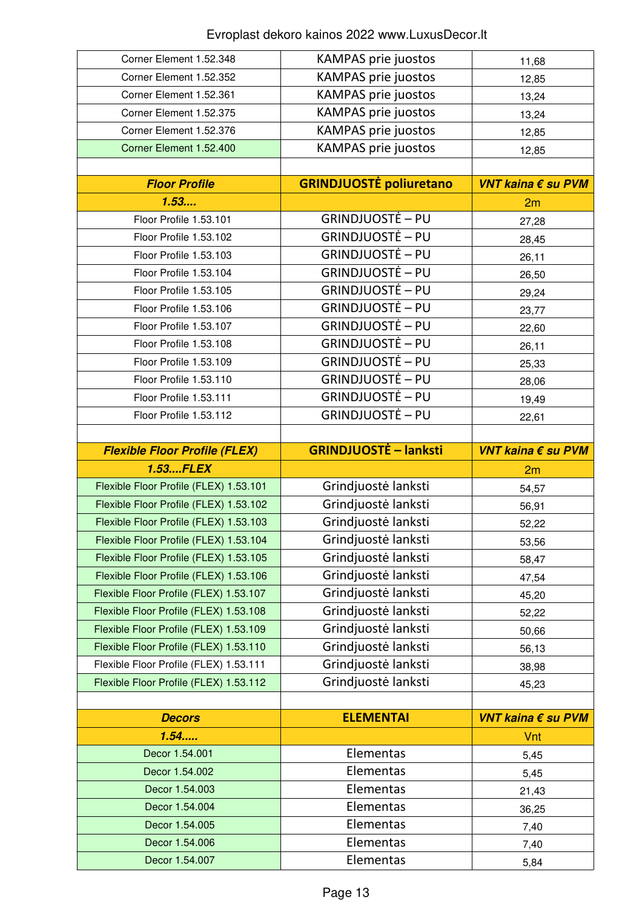| Corner Element 1.52.348                | <b>KAMPAS prie juostos</b>     | 11,68              |
|----------------------------------------|--------------------------------|--------------------|
| Corner Element 1.52.352                | <b>KAMPAS prie juostos</b>     | 12,85              |
| Corner Element 1.52.361                | <b>KAMPAS prie juostos</b>     | 13,24              |
| Corner Element 1.52.375                | <b>KAMPAS prie juostos</b>     | 13,24              |
| Corner Element 1.52.376                | <b>KAMPAS prie juostos</b>     | 12,85              |
| Corner Element 1.52.400                | <b>KAMPAS prie juostos</b>     | 12,85              |
|                                        |                                |                    |
| <b>Floor Profile</b>                   | <b>GRINDJUOSTĖ poliuretano</b> | VNT kaina € su PVM |
| 1.53                                   |                                | 2m                 |
| Floor Profile 1.53.101                 | <b>GRINDJUOSTĖ – PU</b>        | 27,28              |
| Floor Profile 1.53.102                 | <b>GRINDJUOSTĖ – PU</b>        | 28,45              |
| Floor Profile 1.53.103                 | <b>GRINDJUOSTĖ – PU</b>        | 26,11              |
| Floor Profile 1.53.104                 | <b>GRINDJUOSTĖ – PU</b>        | 26,50              |
| Floor Profile 1.53.105                 | <b>GRINDJUOSTĖ – PU</b>        | 29,24              |
| Floor Profile 1.53.106                 | <b>GRINDJUOSTĖ – PU</b>        | 23,77              |
| Floor Profile 1.53.107                 | <b>GRINDJUOSTĖ – PU</b>        | 22,60              |
| Floor Profile 1.53.108                 | <b>GRINDJUOSTĖ – PU</b>        | 26,11              |
| Floor Profile 1.53.109                 | <b>GRINDJUOSTĖ – PU</b>        | 25,33              |
| Floor Profile 1.53.110                 | <b>GRINDJUOSTĖ – PU</b>        | 28,06              |
| Floor Profile 1.53.111                 | <b>GRINDJUOSTĖ – PU</b>        | 19,49              |
| Floor Profile 1.53.112                 | <b>GRINDJUOSTĖ – PU</b>        | 22,61              |
|                                        |                                |                    |
| <b>Flexible Floor Profile (FLEX)</b>   | <b>GRINDJUOSTĖ - lanksti</b>   | VNT kaina € su PVM |
|                                        |                                |                    |
| 1.53FLEX                               |                                | 2m                 |
| Flexible Floor Profile (FLEX) 1.53.101 | Grindjuostė lanksti            | 54,57              |
| Flexible Floor Profile (FLEX) 1.53.102 | Grindjuostė lanksti            | 56,91              |
| Flexible Floor Profile (FLEX) 1.53.103 | Grindjuostė lanksti            | 52,22              |
| Flexible Floor Profile (FLEX) 1.53.104 | Grindjuostė lanksti            | 53,56              |
| Flexible Floor Profile (FLEX) 1.53.105 | Grindjuostė lanksti            | 58,47              |
| Flexible Floor Profile (FLEX) 1.53.106 | Grindjuostė lanksti            | 47,54              |
| Flexible Floor Profile (FLEX) 1.53.107 | Grindjuostė lanksti            | 45,20              |
| Flexible Floor Profile (FLEX) 1.53.108 | Grindjuostė lanksti            | 52,22              |
| Flexible Floor Profile (FLEX) 1.53.109 | Grindjuostė lanksti            | 50,66              |
| Flexible Floor Profile (FLEX) 1.53.110 | Grindjuostė lanksti            | 56,13              |
| Flexible Floor Profile (FLEX) 1.53.111 | Grindjuostė lanksti            | 38,98              |
| Flexible Floor Profile (FLEX) 1.53.112 | Grindjuostė lanksti            | 45,23              |
|                                        |                                |                    |
| <b>Decors</b>                          | <b>ELEMENTAI</b>               | VNT kaina € su PVM |
| 1.54                                   |                                | Vnt                |
| Decor 1.54.001                         | Elementas                      | 5,45               |
| Decor 1.54.002                         | Elementas                      | 5,45               |
| Decor 1.54.003                         | Elementas                      | 21,43              |
| Decor 1.54.004                         | Elementas                      | 36,25              |
| Decor 1.54.005                         | Elementas                      | 7,40               |
| Decor 1.54.006<br>Decor 1.54.007       | Elementas<br>Elementas         | 7,40               |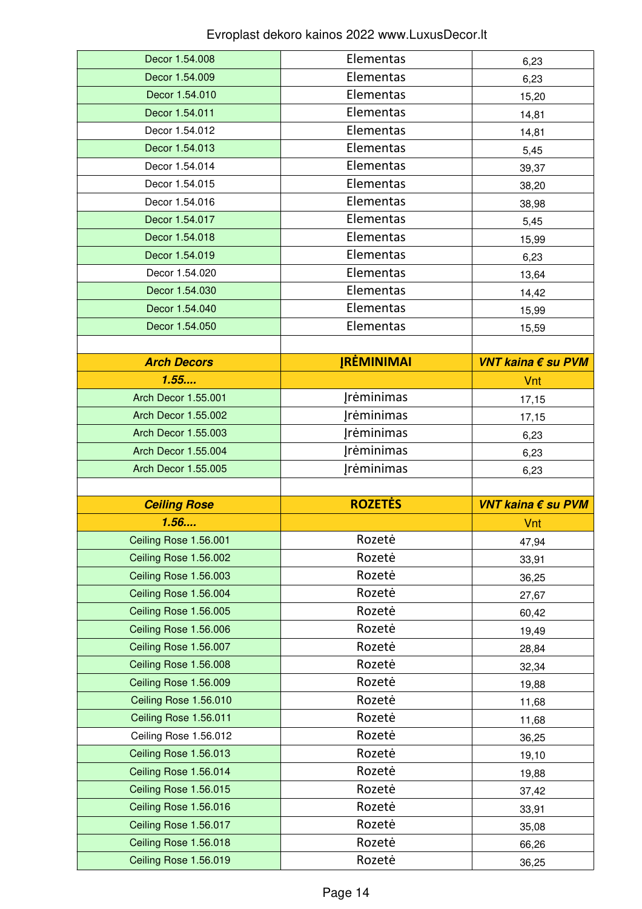| Decor 1.54.008                                 | Elementas         | 6,23               |
|------------------------------------------------|-------------------|--------------------|
| Decor 1.54.009                                 | Elementas         | 6,23               |
| Decor 1.54.010                                 | Elementas         | 15,20              |
| Decor 1.54.011                                 | Elementas         | 14,81              |
| Decor 1.54.012                                 | Elementas         | 14,81              |
| Decor 1.54.013                                 | Elementas         | 5,45               |
| Decor 1.54.014                                 | Elementas         | 39,37              |
| Decor 1.54.015                                 | Elementas         | 38,20              |
| Decor 1.54.016                                 | Elementas         | 38,98              |
| Decor 1.54.017                                 | Elementas         | 5,45               |
| Decor 1.54.018                                 | Elementas         | 15,99              |
| Decor 1.54.019                                 | Elementas         | 6,23               |
| Decor 1.54.020                                 | Elementas         | 13,64              |
| Decor 1.54.030                                 | Elementas         | 14,42              |
| Decor 1.54.040                                 | Elementas         | 15,99              |
| Decor 1.54.050                                 | Elementas         | 15,59              |
|                                                |                   |                    |
| <b>Arch Decors</b>                             | <b>JRĖMINIMAI</b> | VNT kaina € su PVM |
| 1.55                                           |                   | Vnt                |
| <b>Arch Decor 1.55.001</b>                     | <b>Įrėminimas</b> | 17,15              |
| <b>Arch Decor 1.55.002</b>                     | <b>Įrėminimas</b> | 17,15              |
| Arch Decor 1.55.003                            | Jrėminimas        | 6,23               |
| <b>Arch Decor 1.55.004</b>                     | <b>Įrėminimas</b> | 6,23               |
|                                                |                   |                    |
| Arch Decor 1.55.005                            | <b>Jrėminimas</b> | 6,23               |
|                                                |                   |                    |
| <b>Ceiling Rose</b>                            | <b>ROZETĖS</b>    | VNT kaina € su PVM |
| 1.56                                           |                   | Vnt                |
| Ceiling Rose 1.56.001                          | Rozetė            | 47,94              |
| Ceiling Rose 1.56.002                          | Rozetė            | 33,91              |
| Ceiling Rose 1.56.003                          | Rozetė            | 36,25              |
| Ceiling Rose 1.56.004                          | Rozetė            | 27,67              |
| Ceiling Rose 1.56.005                          | Rozetė            | 60,42              |
| Ceiling Rose 1.56.006                          | Rozetė            | 19,49              |
| Ceiling Rose 1.56.007                          | Rozetė            | 28,84              |
| Ceiling Rose 1.56.008                          | Rozetė            | 32,34              |
| Ceiling Rose 1.56.009                          | Rozetė            | 19,88              |
| Ceiling Rose 1.56.010                          | Rozetė            | 11,68              |
| Ceiling Rose 1.56.011                          | Rozetė            | 11,68              |
| Ceiling Rose 1.56.012                          | Rozetė            | 36,25              |
| Ceiling Rose 1.56.013                          | Rozetė            | 19,10              |
| Ceiling Rose 1.56.014                          | Rozetė            | 19,88              |
| Ceiling Rose 1.56.015                          | Rozetė            | 37,42              |
| Ceiling Rose 1.56.016                          | Rozetė            | 33,91              |
| Ceiling Rose 1.56.017                          | Rozetė            | 35,08              |
| Ceiling Rose 1.56.018<br>Ceiling Rose 1.56.019 | Rozetė<br>Rozetė  | 66,26<br>36,25     |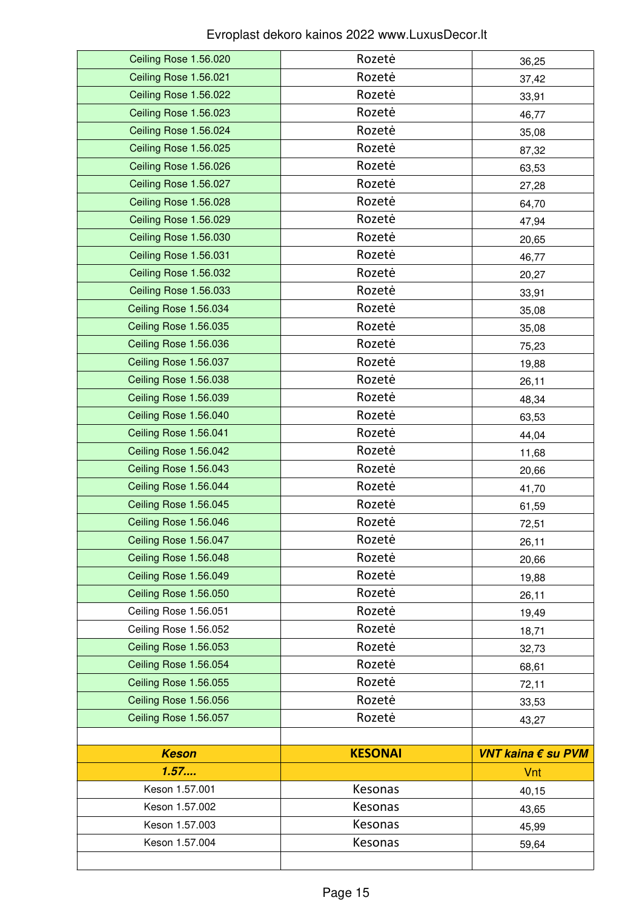| Ceiling Rose 1.56.020 | Rozetė         | 36,25              |
|-----------------------|----------------|--------------------|
| Ceiling Rose 1.56.021 | Rozetė         | 37,42              |
| Ceiling Rose 1.56.022 | Rozetė         | 33,91              |
| Ceiling Rose 1.56.023 | Rozetė         | 46,77              |
| Ceiling Rose 1.56.024 | Rozetė         | 35,08              |
| Ceiling Rose 1.56.025 | Rozetė         | 87,32              |
| Ceiling Rose 1.56.026 | Rozetė         | 63,53              |
| Ceiling Rose 1.56.027 | Rozetė         | 27,28              |
| Ceiling Rose 1.56.028 | Rozetė         | 64,70              |
| Ceiling Rose 1.56.029 | Rozetė         | 47,94              |
| Ceiling Rose 1.56.030 | Rozetė         | 20,65              |
| Ceiling Rose 1.56.031 | Rozetė         | 46,77              |
| Ceiling Rose 1.56.032 | Rozetė         | 20,27              |
| Ceiling Rose 1.56.033 | Rozetė         | 33,91              |
| Ceiling Rose 1.56.034 | Rozetė         | 35,08              |
| Ceiling Rose 1.56.035 | Rozetė         | 35,08              |
| Ceiling Rose 1.56.036 | Rozetė         | 75,23              |
| Ceiling Rose 1.56.037 | Rozetė         | 19,88              |
| Ceiling Rose 1.56.038 | Rozetė         | 26,11              |
| Ceiling Rose 1.56.039 | Rozetė         | 48,34              |
| Ceiling Rose 1.56.040 | Rozetė         | 63,53              |
| Ceiling Rose 1.56.041 | Rozetė         | 44,04              |
| Ceiling Rose 1.56.042 | Rozetė         | 11,68              |
| Ceiling Rose 1.56.043 | Rozetė         | 20,66              |
| Ceiling Rose 1.56.044 | Rozetė         | 41,70              |
| Ceiling Rose 1.56.045 | Rozetė         | 61,59              |
| Ceiling Rose 1.56.046 | Rozetė         | 72,51              |
| Ceiling Rose 1.56.047 | Rozetė         | 26,11              |
| Ceiling Rose 1.56.048 | Rozetė         | 20,66              |
| Ceiling Rose 1.56.049 | Rozetė         | 19,88              |
| Ceiling Rose 1.56.050 | Rozetė         | 26,11              |
| Ceiling Rose 1.56.051 | Rozetė         | 19,49              |
| Ceiling Rose 1.56.052 | Rozetė         | 18,71              |
| Ceiling Rose 1.56.053 | Rozetė         | 32,73              |
| Ceiling Rose 1.56.054 | Rozetė         | 68,61              |
| Ceiling Rose 1.56.055 | Rozetė         | 72,11              |
| Ceiling Rose 1.56.056 | Rozetė         | 33,53              |
| Ceiling Rose 1.56.057 | Rozetė         | 43,27              |
|                       |                |                    |
| <b>Keson</b>          | <b>KESONAI</b> | VNT kaina € su PVM |
| 1.57                  |                | Vnt                |
| Keson 1.57.001        | Kesonas        | 40,15              |
| Keson 1.57.002        | Kesonas        | 43,65              |
| Keson 1.57.003        | Kesonas        | 45,99              |
| Keson 1.57.004        | Kesonas        | 59,64              |
|                       |                |                    |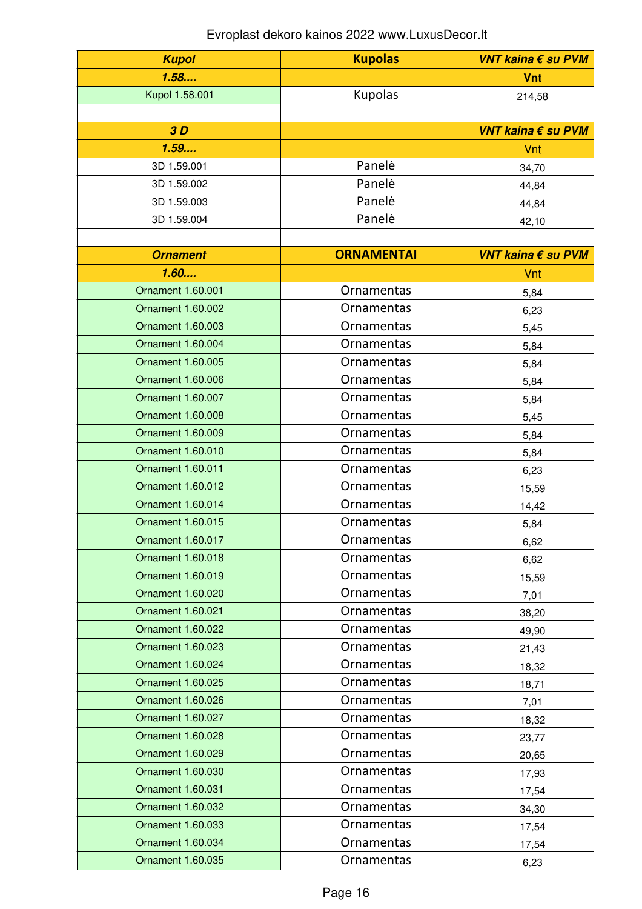| <b>Kupol</b>             | <b>Kupolas</b>    | VNT kaina € su PVM |
|--------------------------|-------------------|--------------------|
| 1.58                     |                   | <b>Vnt</b>         |
| Kupol 1.58.001           | Kupolas           | 214,58             |
|                          |                   |                    |
| 3D                       |                   | VNT kaina € su PVM |
| 1.59                     |                   | Vnt                |
| 3D 1.59.001              | Panelė            | 34,70              |
| 3D 1.59.002              | Panelė            | 44,84              |
| 3D 1.59.003              | Panelė            | 44,84              |
| 3D 1.59.004              | Panelė            | 42,10              |
|                          |                   |                    |
| <b>Ornament</b>          | <b>ORNAMENTAI</b> | VNT kaina € su PVM |
| 1.60                     |                   | Vnt                |
| Ornament 1.60.001        | Ornamentas        | 5,84               |
| Ornament 1.60.002        | Ornamentas        | 6,23               |
| Ornament 1.60.003        | Ornamentas        | 5,45               |
| Ornament 1.60.004        | Ornamentas        | 5,84               |
| Ornament 1.60.005        | Ornamentas        | 5,84               |
| Ornament 1.60.006        | Ornamentas        | 5,84               |
| Ornament 1.60.007        | Ornamentas        | 5,84               |
| Ornament 1.60.008        | Ornamentas        | 5,45               |
| Ornament 1.60.009        | Ornamentas        | 5,84               |
| Ornament 1.60.010        | Ornamentas        | 5,84               |
| <b>Ornament 1.60.011</b> | Ornamentas        | 6,23               |
| Ornament 1.60.012        | Ornamentas        | 15,59              |
| Ornament 1.60.014        | Ornamentas        | 14,42              |
| <b>Ornament 1.60.015</b> | Ornamentas        | 5,84               |
| Ornament 1.60.017        | <b>Ornamentas</b> | 6,62               |
| Ornament 1.60.018        | Ornamentas        | 6,62               |
| Ornament 1.60.019        | Ornamentas        | 15,59              |
| Ornament 1.60.020        | <b>Ornamentas</b> | 7,01               |
| Ornament 1.60.021        | Ornamentas        | 38,20              |
| Ornament 1.60.022        | Ornamentas        | 49,90              |
| Ornament 1.60.023        | <b>Ornamentas</b> | 21,43              |
| Ornament 1.60.024        | <b>Ornamentas</b> | 18,32              |
| Ornament 1.60.025        | <b>Ornamentas</b> | 18,71              |
| Ornament 1.60.026        | Ornamentas        | 7,01               |
| Ornament 1.60.027        | Ornamentas        | 18,32              |
| Ornament 1.60.028        | <b>Ornamentas</b> | 23,77              |
| Ornament 1.60.029        | Ornamentas        | 20,65              |
| Ornament 1.60.030        | Ornamentas        | 17,93              |
| Ornament 1.60.031        | <b>Ornamentas</b> | 17,54              |
| Ornament 1.60.032        | <b>Ornamentas</b> | 34,30              |
| Ornament 1.60.033        | <b>Ornamentas</b> | 17,54              |
| Ornament 1.60.034        | Ornamentas        | 17,54              |
| Ornament 1.60.035        | Ornamentas        | 6,23               |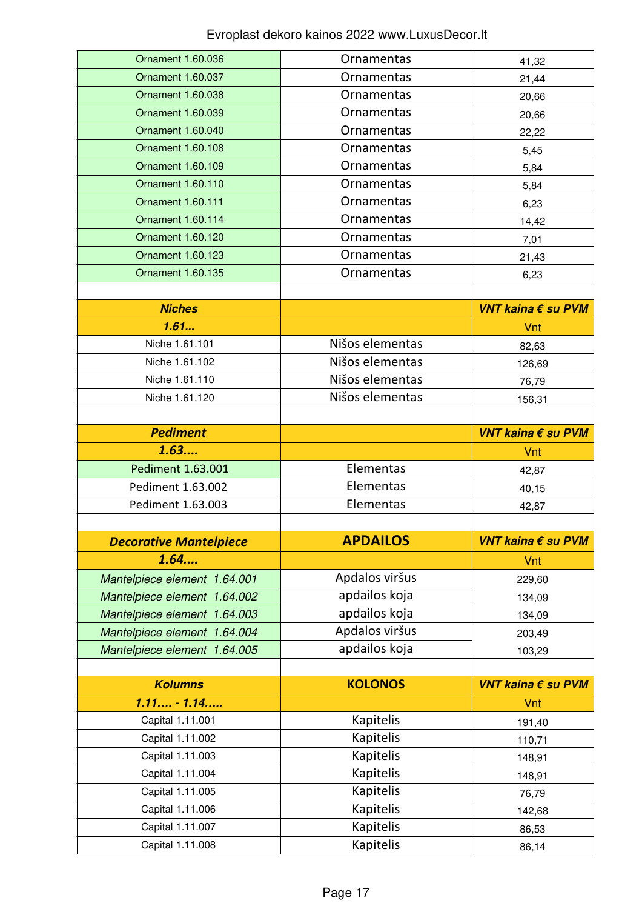| Ornament 1.60.036             | <b>Ornamentas</b>             | 41,32              |
|-------------------------------|-------------------------------|--------------------|
| <b>Ornament 1.60.037</b>      | Ornamentas                    | 21,44              |
| Ornament 1.60.038             | Ornamentas                    | 20,66              |
| Ornament 1.60.039             | Ornamentas                    | 20,66              |
| Ornament 1.60.040             | Ornamentas                    | 22,22              |
| Ornament 1.60.108             | Ornamentas                    | 5,45               |
| Ornament 1.60.109             | <b>Ornamentas</b>             | 5,84               |
| Ornament 1.60.110             | Ornamentas                    | 5,84               |
| Ornament 1.60.111             | <b>Ornamentas</b>             | 6,23               |
| Ornament 1.60.114             | Ornamentas                    | 14,42              |
| Ornament 1.60.120             | <b>Ornamentas</b>             | 7,01               |
| Ornament 1.60.123             | Ornamentas                    | 21,43              |
| Ornament 1.60.135             | Ornamentas                    | 6,23               |
|                               |                               |                    |
| <b>Niches</b>                 |                               | VNT kaina € su PVM |
| 1.61                          |                               | Vnt                |
| Niche 1.61.101                | Nišos elementas               | 82,63              |
| Niche 1.61.102                | Nišos elementas               | 126,69             |
| Niche 1.61.110                | Nišos elementas               | 76,79              |
| Niche 1.61.120                | Nišos elementas               | 156,31             |
|                               |                               |                    |
| <b>Pediment</b>               |                               | VNT kaina € su PVM |
|                               |                               |                    |
| 1.63                          |                               | Vnt                |
| Pediment 1.63.001             | Elementas                     | 42,87              |
| Pediment 1.63.002             | Elementas                     | 40,15              |
| Pediment 1.63.003             | Elementas                     | 42,87              |
|                               |                               |                    |
| <b>Decorative Mantelpiece</b> | <b>APDAILOS</b>               | VNT kaina € su PVM |
| 1.64                          |                               | Vnt                |
| Mantelpiece element 1.64.001  | Apdalos viršus                | 229,60             |
| Mantelpiece element 1.64.002  | apdailos koja                 | 134,09             |
| Mantelpiece element 1.64.003  | apdailos koja                 | 134,09             |
| Mantelpiece element 1.64.004  | Apdalos viršus                | 203,49             |
| Mantelpiece element 1.64.005  | apdailos koja                 | 103,29             |
|                               |                               |                    |
| <b>Kolumns</b>                | <b>KOLONOS</b>                | VNT kaina € su PVM |
| $1.11 - 1.14$                 |                               | Vnt                |
| Capital 1.11.001              | Kapitelis                     | 191,40             |
| Capital 1.11.002              | Kapitelis                     | 110,71             |
| Capital 1.11.003              | Kapitelis                     | 148,91             |
| Capital 1.11.004              | <b>Kapitelis</b>              | 148,91             |
| Capital 1.11.005              | Kapitelis                     | 76,79              |
| Capital 1.11.006              | Kapitelis                     | 142,68             |
| Capital 1.11.007              | Kapitelis<br><b>Kapitelis</b> | 86,53              |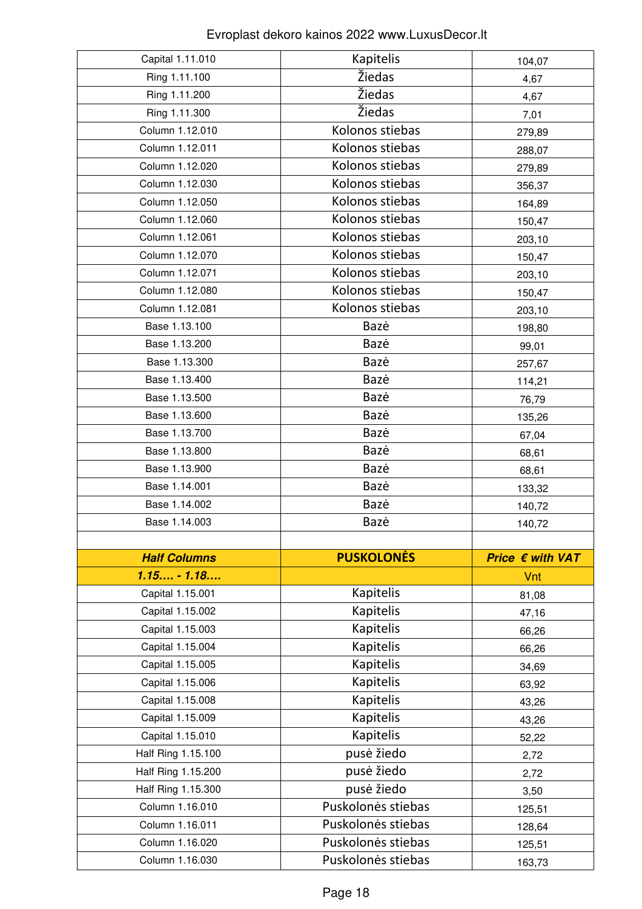| Capital 1.11.010    |                                  |                  |
|---------------------|----------------------------------|------------------|
|                     | Kapitelis                        | 104,07           |
| Ring 1.11.100       | Žiedas                           | 4,67             |
| Ring 1.11.200       | Žiedas                           | 4,67             |
| Ring 1.11.300       | Žiedas                           | 7,01             |
| Column 1.12.010     | Kolonos stiebas                  | 279,89           |
| Column 1.12.011     | Kolonos stiebas                  | 288,07           |
| Column 1.12.020     | Kolonos stiebas                  | 279,89           |
| Column 1.12.030     | Kolonos stiebas                  | 356,37           |
| Column 1.12.050     | Kolonos stiebas                  | 164,89           |
| Column 1.12.060     | Kolonos stiebas                  | 150,47           |
| Column 1.12.061     | Kolonos stiebas                  | 203,10           |
| Column 1.12.070     | Kolonos stiebas                  | 150,47           |
| Column 1.12.071     | Kolonos stiebas                  | 203,10           |
| Column 1.12.080     | Kolonos stiebas                  | 150,47           |
| Column 1.12.081     | Kolonos stiebas                  | 203,10           |
| Base 1.13.100       | Bazė                             | 198,80           |
| Base 1.13.200       | Bazė                             | 99,01            |
| Base 1.13.300       | Bazė                             | 257,67           |
| Base 1.13.400       | Bazė                             | 114,21           |
| Base 1.13.500       | Bazė                             | 76,79            |
| Base 1.13.600       | Bazė                             | 135,26           |
| Base 1.13.700       | Bazė                             | 67,04            |
| Base 1.13.800       | Bazė                             | 68,61            |
| Base 1.13.900       | Bazė                             | 68,61            |
| Base 1.14.001       | Bazė                             |                  |
|                     |                                  |                  |
| Base 1.14.002       | Bazė                             | 133,32           |
| Base 1.14.003       | Bazė                             | 140,72           |
|                     |                                  | 140,72           |
| <b>Half Columns</b> | <b>PUSKOLONĖS</b>                | Price € with VAT |
| $1.15 - 1.18$       |                                  | Vnt              |
| Capital 1.15.001    | Kapitelis                        |                  |
| Capital 1.15.002    | Kapitelis                        | 81,08            |
| Capital 1.15.003    | Kapitelis                        | 47,16            |
| Capital 1.15.004    | Kapitelis                        | 66,26            |
| Capital 1.15.005    | Kapitelis                        | 66,26            |
| Capital 1.15.006    | Kapitelis                        | 34,69            |
| Capital 1.15.008    | Kapitelis                        | 63,92            |
| Capital 1.15.009    |                                  | 43,26            |
| Capital 1.15.010    | Kapitelis<br>Kapitelis           | 43,26            |
| Half Ring 1.15.100  | pusė žiedo                       | 52,22            |
| Half Ring 1.15.200  | pusė žiedo                       | 2,72             |
| Half Ring 1.15.300  |                                  | 2,72             |
| Column 1.16.010     | pusė žiedo<br>Puskolonės stiebas | 3,50             |
| Column 1.16.011     | Puskolonės stiebas               | 125,51           |
| Column 1.16.020     | Puskolonės stiebas               | 128,64           |
| Column 1.16.030     | Puskolonės stiebas               | 125,51<br>163,73 |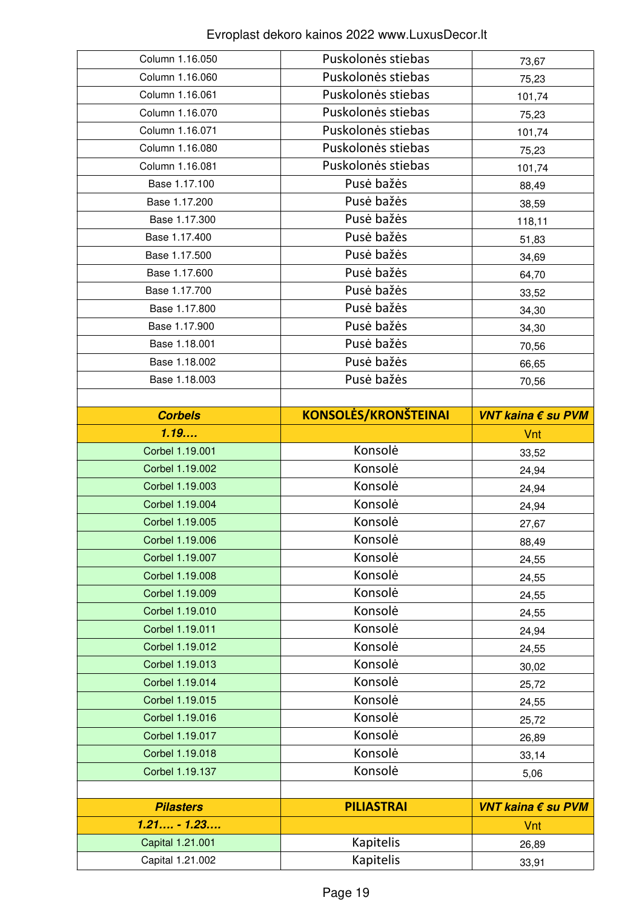| Column 1.16.050                      | Puskolonės stiebas          | 73,67              |
|--------------------------------------|-----------------------------|--------------------|
| Column 1.16.060                      | Puskolonės stiebas          | 75,23              |
| Column 1.16.061                      | Puskolonės stiebas          | 101,74             |
| Column 1.16.070                      | Puskolonės stiebas          | 75,23              |
| Column 1.16.071                      | Puskolonės stiebas          | 101,74             |
| Column 1.16.080                      | Puskolonės stiebas          | 75,23              |
| Column 1.16.081                      | Puskolonės stiebas          | 101,74             |
| Base 1.17.100                        | Pusė bažės                  | 88,49              |
| Base 1.17.200                        | Pusė bažės                  | 38,59              |
| Base 1.17.300                        | Pusė bažės                  | 118,11             |
| Base 1.17.400                        | Pusė bažės                  | 51,83              |
| Base 1.17.500                        | Pusė bažės                  | 34,69              |
| Base 1.17.600                        | Pusė bažės                  | 64,70              |
| Base 1.17.700                        | Pusė bažės                  | 33,52              |
| Base 1.17.800                        | Pusė bažės                  | 34,30              |
| Base 1.17.900                        | Pusė bažės                  | 34,30              |
| Base 1.18.001                        | Pusė bažės                  | 70,56              |
| Base 1.18.002                        | Pusė bažės                  | 66,65              |
| Base 1.18.003                        | Pusė bažės                  | 70,56              |
|                                      |                             |                    |
| <b>Corbels</b>                       | <b>KONSOLĖS/KRONŠTEINAI</b> | VNT kaina € su PVM |
| 1.19                                 |                             | Vnt                |
| Corbel 1.19.001                      | Konsolė                     | 33,52              |
|                                      |                             |                    |
| Corbel 1.19.002                      | Konsolė                     | 24,94              |
| Corbel 1.19.003                      | Konsolė                     | 24,94              |
| Corbel 1.19.004                      | Konsolė                     | 24,94              |
| Corbel 1.19.005                      | Konsolė                     | 27,67              |
| Corbel 1.19.006                      | Konsolė                     | 88,49              |
| Corbel 1.19.007                      | Konsolė                     | 24,55              |
| Corbel 1.19.008                      | Konsolė                     | 24,55              |
| Corbel 1.19.009                      | Konsolė                     | 24,55              |
| Corbel 1.19.010                      | Konsolė                     | 24,55              |
| Corbel 1.19.011                      | Konsolė                     | 24,94              |
| Corbel 1.19.012                      | Konsolė                     | 24,55              |
| Corbel 1.19.013                      | Konsolė                     | 30,02              |
| Corbel 1.19.014                      | Konsolė                     | 25,72              |
| Corbel 1.19.015                      | Konsolė                     | 24,55              |
| Corbel 1.19.016                      | Konsolė                     | 25,72              |
| Corbel 1.19.017                      | Konsolė                     | 26,89              |
| Corbel 1.19.018                      | Konsolė                     | 33,14              |
| Corbel 1.19.137                      | Konsolė                     | 5,06               |
|                                      |                             |                    |
| <b>Pilasters</b>                     | <b>PILIASTRAI</b>           | VNT kaina € su PVM |
| $1.21 - 1.23$                        |                             | Vnt                |
| Capital 1.21.001<br>Capital 1.21.002 | Kapitelis<br>Kapitelis      | 26,89              |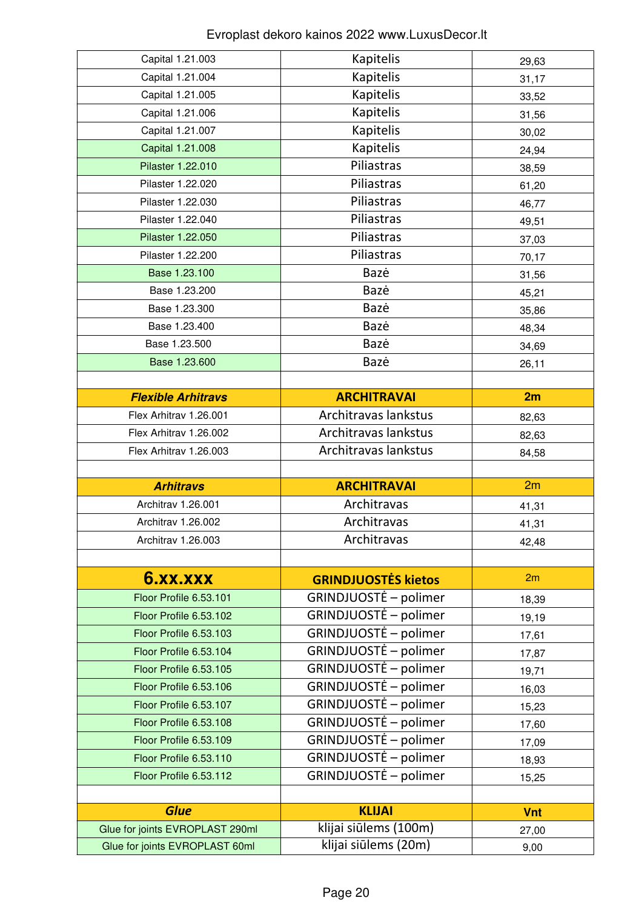| Capital 1.21.003                                                  | Kapitelis                                     | 29,63      |
|-------------------------------------------------------------------|-----------------------------------------------|------------|
| Capital 1.21.004                                                  | Kapitelis                                     | 31,17      |
| Capital 1.21.005                                                  | Kapitelis                                     | 33,52      |
| Capital 1.21.006                                                  | Kapitelis                                     | 31,56      |
| Capital 1.21.007                                                  | Kapitelis                                     | 30,02      |
| Capital 1.21.008                                                  | Kapitelis                                     | 24,94      |
| Pilaster 1.22.010                                                 | Piliastras                                    | 38,59      |
| Pilaster 1.22.020                                                 | Piliastras                                    | 61,20      |
| Pilaster 1.22.030                                                 | Piliastras                                    | 46,77      |
| Pilaster 1.22.040                                                 | Piliastras                                    | 49,51      |
| Pilaster 1.22.050                                                 | Piliastras                                    | 37,03      |
| Pilaster 1.22.200                                                 | Piliastras                                    | 70,17      |
| Base 1.23.100                                                     | Bazė                                          | 31,56      |
| Base 1.23.200                                                     | Bazė                                          | 45,21      |
| Base 1.23.300                                                     | Bazė                                          | 35,86      |
| Base 1.23.400                                                     | Bazė                                          | 48,34      |
| Base 1.23.500                                                     | Bazė                                          | 34,69      |
| Base 1.23.600                                                     | Bazė                                          | 26,11      |
|                                                                   |                                               |            |
| <b>Flexible Arhitravs</b>                                         | <b>ARCHITRAVAI</b>                            | 2m         |
| Flex Arhitrav 1.26.001                                            | Architravas lankstus                          | 82,63      |
| Flex Arhitrav 1.26.002                                            | Architravas lankstus                          | 82,63      |
| Flex Arhitrav 1.26.003                                            | Architravas lankstus                          | 84,58      |
|                                                                   |                                               |            |
|                                                                   |                                               |            |
| <b>Arhitravs</b>                                                  | <b>ARCHITRAVAI</b>                            | 2m         |
| Architrav 1.26.001                                                | Architravas                                   | 41,31      |
| Architrav 1.26.002                                                | Architravas                                   | 41,31      |
| Architrav 1.26.003                                                | Architravas                                   | 42,48      |
|                                                                   |                                               |            |
| <b>6.XX.XXX</b>                                                   | <b>GRINDJUOSTĖS kietos</b>                    | 2m         |
| Floor Profile 6.53.101                                            | GRINDJUOSTĖ – polimer                         | 18,39      |
| Floor Profile 6.53.102                                            | GRINDJUOSTĖ – polimer                         | 19,19      |
| Floor Profile 6.53.103                                            | GRINDJUOSTĖ – polimer                         | 17,61      |
| Floor Profile 6.53.104                                            | GRINDJUOSTĖ – polimer                         | 17,87      |
| Floor Profile 6.53.105                                            | GRINDJUOSTĖ – polimer                         | 19,71      |
| Floor Profile 6.53.106                                            | GRINDJUOSTĖ – polimer                         | 16,03      |
| Floor Profile 6.53.107                                            | GRINDJUOSTĖ – polimer                         | 15,23      |
| Floor Profile 6.53.108                                            | GRINDJUOSTĖ – polimer                         | 17,60      |
| Floor Profile 6.53.109                                            | GRINDJUOSTĖ – polimer                         | 17,09      |
| Floor Profile 6.53.110                                            | GRINDJUOSTĖ – polimer                         | 18,93      |
| Floor Profile 6.53.112                                            | GRINDJUOSTĖ – polimer                         | 15,25      |
|                                                                   |                                               |            |
| <b>Glue</b>                                                       | <b>KLIJAI</b>                                 | <b>Vnt</b> |
| Glue for joints EVROPLAST 290ml<br>Glue for joints EVROPLAST 60ml | klijai siūlems (100m)<br>klijai siūlems (20m) | 27,00      |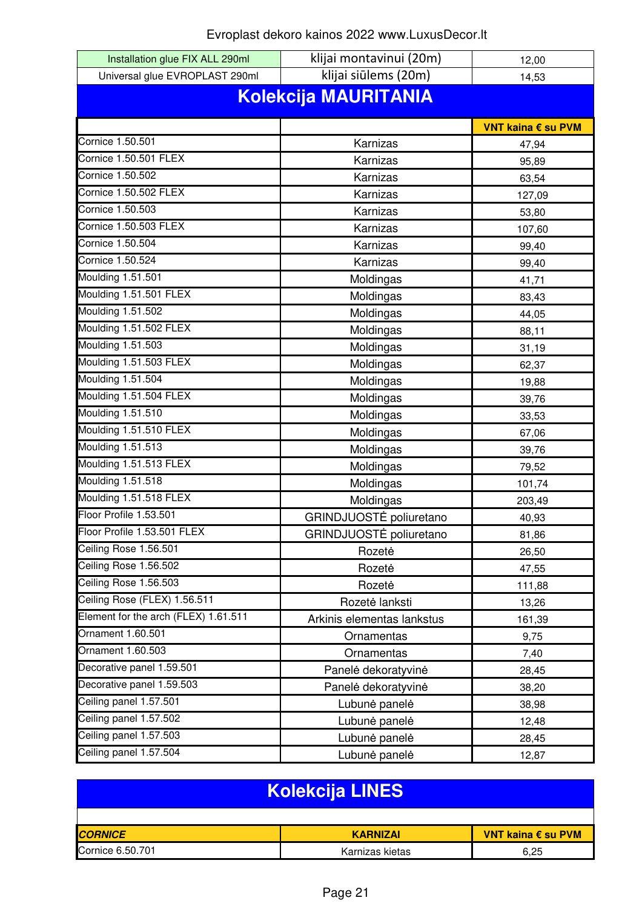| Installation glue FIX ALL 290ml      | klijai montavinui (20m)    | 12,00              |  |
|--------------------------------------|----------------------------|--------------------|--|
| Universal glue EVROPLAST 290ml       | klijai siūlems (20m)       | 14,53              |  |
| <b>Kolekcija MAURITANIA</b>          |                            |                    |  |
|                                      |                            |                    |  |
| Cornice 1.50.501                     |                            | VNT kaina € su PVM |  |
| Cornice 1.50.501 FLEX                | Karnizas                   | 47,94              |  |
| Cornice 1.50.502                     | Karnizas                   | 95,89              |  |
| <b>Cornice 1.50.502 FLEX</b>         | Karnizas                   | 63,54              |  |
| Cornice 1.50.503                     | Karnizas                   | 127,09             |  |
| <b>Cornice 1.50.503 FLEX</b>         | Karnizas                   | 53,80              |  |
|                                      | Karnizas                   | 107,60             |  |
| Cornice 1.50.504                     | Karnizas                   | 99,40              |  |
| Cornice 1.50.524                     | Karnizas                   | 99,40              |  |
| Moulding 1.51.501                    | Moldingas                  | 41,71              |  |
| Moulding 1.51.501 FLEX               | Moldingas                  | 83,43              |  |
| Moulding 1.51.502                    | Moldingas                  | 44,05              |  |
| Moulding 1.51.502 FLEX               | Moldingas                  | 88,11              |  |
| Moulding 1.51.503                    | Moldingas                  | 31,19              |  |
| Moulding 1.51.503 FLEX               | Moldingas                  | 62,37              |  |
| Moulding 1.51.504                    | Moldingas                  | 19,88              |  |
| Moulding 1.51.504 FLEX               | Moldingas                  | 39,76              |  |
| Moulding 1.51.510                    | Moldingas                  | 33,53              |  |
| Moulding 1.51.510 FLEX               | Moldingas                  | 67,06              |  |
| Moulding 1.51.513                    | Moldingas                  | 39,76              |  |
| Moulding 1.51.513 FLEX               | Moldingas                  | 79,52              |  |
| Moulding 1.51.518                    | Moldingas                  | 101,74             |  |
| Moulding 1.51.518 FLEX               | Moldingas                  | 203,49             |  |
| Floor Profile 1.53.501               | GRINDJUOSTĖ poliuretano    | 40,93              |  |
| Floor Profile 1.53.501 FLEX          | GRINDJUOSTĖ poliuretano    | 81,86              |  |
| Ceiling Rose 1.56.501                | Rozetė                     | 26,50              |  |
| Ceiling Rose 1.56.502                | Rozetė                     | 47,55              |  |
| Ceiling Rose 1.56.503                | Rozetė                     | 111,88             |  |
| Ceiling Rose (FLEX) 1.56.511         | Rozetė lanksti             | 13,26              |  |
| Element for the arch (FLEX) 1.61.511 | Arkinis elementas lankstus | 161,39             |  |
| Ornament 1.60.501                    | Ornamentas                 | 9,75               |  |
| Ornament 1.60.503                    | Ornamentas                 | 7,40               |  |
| Decorative panel 1.59.501            | Panelė dekoratyvinė        | 28,45              |  |
| Decorative panel 1.59.503            | Panelė dekoratyvinė        | 38,20              |  |
| Ceiling panel 1.57.501               | Lubunė panelė              | 38,98              |  |
| Ceiling panel 1.57.502               | Lubunė panelė              | 12,48              |  |
| Ceiling panel 1.57.503               | Lubunė panelė              | 28,45              |  |
| Ceiling panel 1.57.504               | Lubunė panelė              | 12,87              |  |
|                                      |                            |                    |  |

| <b>Kolekcija LINES</b> |                 |                    |
|------------------------|-----------------|--------------------|
|                        |                 |                    |
| <b>CORNICE</b>         | <b>KARNIZAI</b> | VNT kaina € su PVM |
| Cornice 6.50.701       | Karnizas kietas | 6.25               |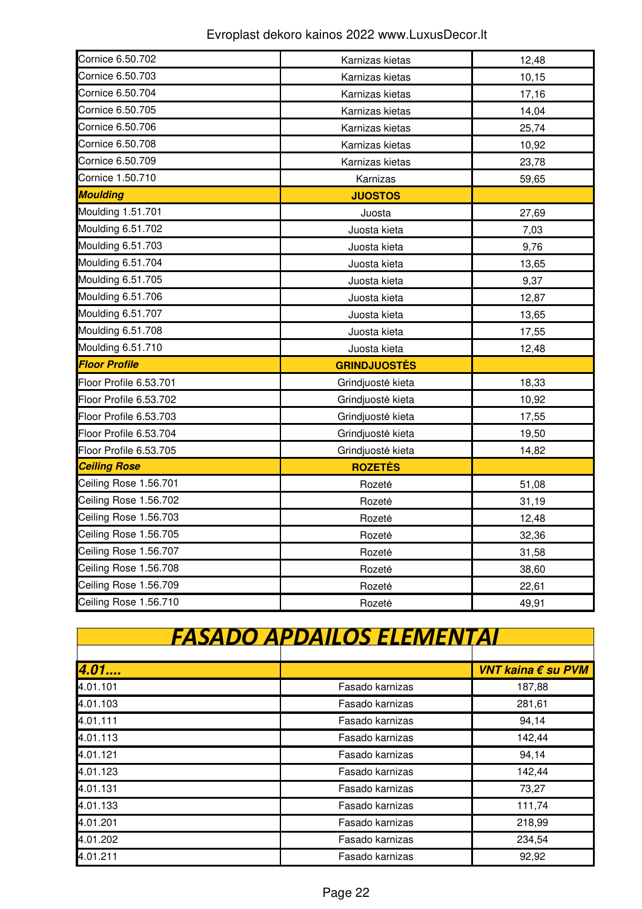| Cornice 6.50.702       | Karnizas kietas     | 12,48 |
|------------------------|---------------------|-------|
| Cornice 6.50.703       | Karnizas kietas     | 10,15 |
| Cornice 6.50.704       | Karnizas kietas     | 17,16 |
| Cornice 6.50.705       | Karnizas kietas     | 14,04 |
| Cornice 6.50.706       | Karnizas kietas     | 25,74 |
| Cornice 6.50.708       | Karnizas kietas     | 10,92 |
| Cornice 6.50.709       | Karnizas kietas     | 23,78 |
| Cornice 1.50.710       | Karnizas            | 59,65 |
| <b>Moulding</b>        | <b>JUOSTOS</b>      |       |
| Moulding 1.51.701      | Juosta              | 27,69 |
| Moulding 6.51.702      | Juosta kieta        | 7,03  |
| Moulding 6.51.703      | Juosta kieta        | 9,76  |
| Moulding 6.51.704      | Juosta kieta        | 13,65 |
| Moulding 6.51.705      | Juosta kieta        | 9,37  |
| Moulding 6.51.706      | Juosta kieta        | 12,87 |
| Moulding 6.51.707      | Juosta kieta        | 13,65 |
| Moulding 6.51.708      | Juosta kieta        | 17,55 |
| Moulding 6.51.710      | Juosta kieta        | 12,48 |
| <b>Floor Profile</b>   | <b>GRINDJUOSTĖS</b> |       |
| Floor Profile 6.53.701 | Grindjuostė kieta   | 18,33 |
| Floor Profile 6.53.702 | Grindjuostė kieta   | 10,92 |
| Floor Profile 6.53.703 | Grindjuostė kieta   | 17,55 |
| Floor Profile 6.53.704 | Grindjuostė kieta   | 19,50 |
| Floor Profile 6.53.705 | Grindjuostė kieta   | 14,82 |
| <b>Ceiling Rose</b>    | <b>ROZETĖS</b>      |       |
| Ceiling Rose 1.56.701  | Rozetė              | 51,08 |
| Ceiling Rose 1.56.702  | Rozetė              | 31,19 |
| Ceiling Rose 1.56.703  | Rozetė              | 12,48 |
| Ceiling Rose 1.56.705  | Rozetė              | 32,36 |
| Ceiling Rose 1.56.707  | Rozetė              | 31,58 |
| Ceiling Rose 1.56.708  | Rozetė              | 38,60 |
| Ceiling Rose 1.56.709  | Rozetė              | 22,61 |
| Ceiling Rose 1.56.710  | Rozete              | 49,91 |

| FASADO APDAILOS ELEMENTAI |                 |                    |  |
|---------------------------|-----------------|--------------------|--|
|                           |                 |                    |  |
| 4.01                      |                 | VNT kaina € su PVM |  |
| 4.01.101                  | Fasado karnizas | 187,88             |  |
| 4.01.103                  | Fasado karnizas | 281,61             |  |
| 4.01.111                  | Fasado karnizas | 94,14              |  |
| 4.01.113                  | Fasado karnizas | 142,44             |  |
| 4.01.121                  | Fasado karnizas | 94,14              |  |
| 4.01.123                  | Fasado karnizas | 142,44             |  |
| 4.01.131                  | Fasado karnizas | 73,27              |  |
| 4.01.133                  | Fasado karnizas | 111,74             |  |
| 4.01.201                  | Fasado karnizas | 218,99             |  |
| 4.01.202                  | Fasado karnizas | 234,54             |  |
| 4.01.211                  | Fasado karnizas | 92,92              |  |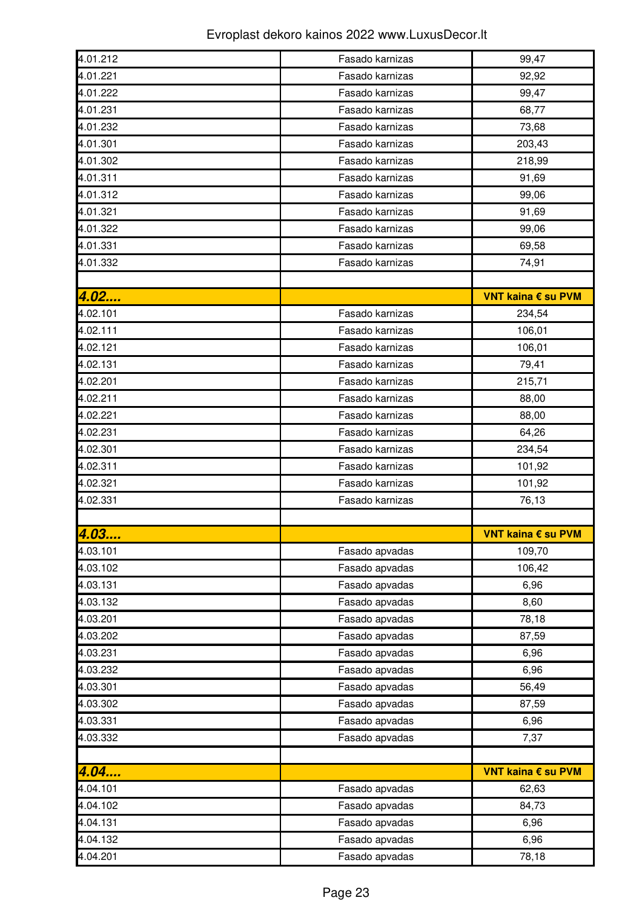| 4.01.212 | Fasado karnizas | 99,47              |
|----------|-----------------|--------------------|
| 4.01.221 | Fasado karnizas | 92,92              |
| 4.01.222 | Fasado karnizas | 99,47              |
| 4.01.231 | Fasado karnizas | 68,77              |
| 4.01.232 | Fasado karnizas | 73,68              |
| 4.01.301 | Fasado karnizas | 203,43             |
| 4.01.302 | Fasado karnizas | 218,99             |
| 4.01.311 | Fasado karnizas | 91,69              |
| 4.01.312 | Fasado karnizas | 99,06              |
| 4.01.321 | Fasado karnizas | 91,69              |
| 4.01.322 | Fasado karnizas | 99,06              |
| 4.01.331 | Fasado karnizas | 69,58              |
| 4.01.332 | Fasado karnizas | 74,91              |
|          |                 |                    |
| 4.02     |                 | VNT kaina € su PVM |
| 4.02.101 | Fasado karnizas | 234,54             |
| 4.02.111 | Fasado karnizas | 106,01             |
| 4.02.121 | Fasado karnizas | 106,01             |
| 4.02.131 | Fasado karnizas | 79,41              |
| 4.02.201 | Fasado karnizas | 215,71             |
| 4.02.211 | Fasado karnizas | 88,00              |
| 4.02.221 | Fasado karnizas | 88,00              |
| 4.02.231 | Fasado karnizas | 64,26              |
| 4.02.301 | Fasado karnizas | 234,54             |
| 4.02.311 | Fasado karnizas | 101,92             |
| 4.02.321 | Fasado karnizas | 101,92             |
| 4.02.331 | Fasado karnizas | 76,13              |
|          |                 |                    |
| 4.03     |                 | VNT kaina € su PVM |
| 4.03.101 | Fasado apvadas  | 109,70             |
| 4.03.102 | Fasado apvadas  | 106,42             |
| 4.03.131 | Fasado apvadas  | 6,96               |
| 4.03.132 | Fasado apvadas  | 8,60               |
| 4.03.201 | Fasado apvadas  | 78,18              |
| 4.03.202 | Fasado apvadas  | 87,59              |
| 4.03.231 | Fasado apvadas  | 6,96               |
| 4.03.232 | Fasado apvadas  | 6,96               |
| 4.03.301 | Fasado apvadas  | 56,49              |
| 4.03.302 | Fasado apvadas  | 87,59              |
| 4.03.331 | Fasado apvadas  | 6,96               |
| 4.03.332 | Fasado apvadas  | 7,37               |
|          |                 |                    |
| 4.04     |                 | VNT kaina € su PVM |
| 4.04.101 | Fasado apvadas  | 62,63              |
| 4.04.102 | Fasado apvadas  | 84,73              |
| 4.04.131 | Fasado apvadas  | 6,96               |
| 4.04.132 | Fasado apvadas  | 6,96               |
| 4.04.201 | Fasado apvadas  |                    |
|          |                 | 78,18              |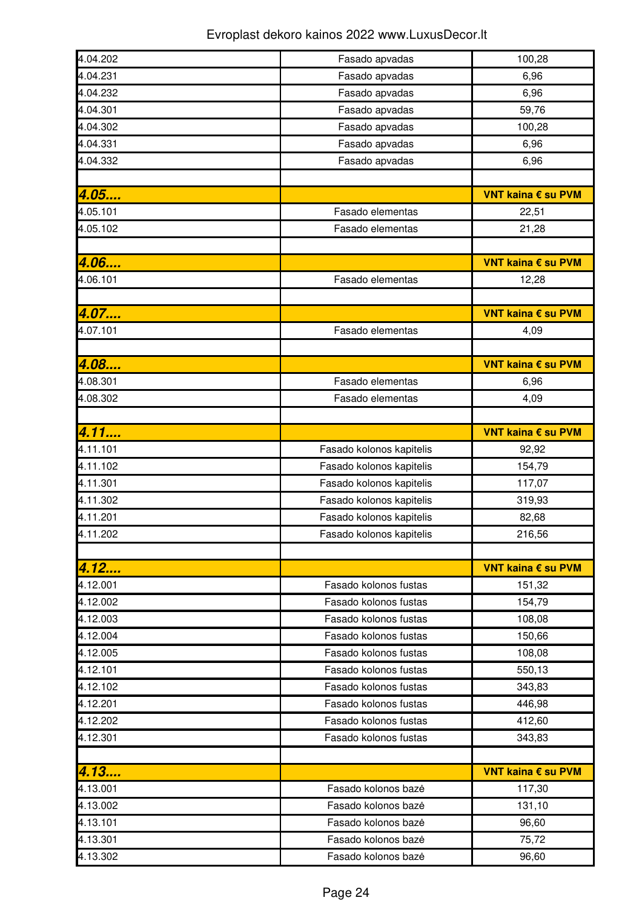| 4.04.202 | Fasado apvadas           | 100,28             |
|----------|--------------------------|--------------------|
| 4.04.231 | Fasado apvadas           | 6,96               |
| 4.04.232 | Fasado apvadas           | 6,96               |
| 4.04.301 | Fasado apvadas           | 59,76              |
| 4.04.302 | Fasado apvadas           | 100,28             |
| 4.04.331 | Fasado apvadas           | 6,96               |
| 4.04.332 | Fasado apvadas           | 6,96               |
|          |                          |                    |
| 4.05     |                          | VNT kaina € su PVM |
| 4.05.101 | Fasado elementas         | 22,51              |
| 4.05.102 | Fasado elementas         | 21,28              |
|          |                          |                    |
| 4.06     |                          | VNT kaina € su PVM |
| 4.06.101 | Fasado elementas         | 12,28              |
|          |                          |                    |
| 4.07     |                          | VNT kaina € su PVM |
| 4.07.101 | Fasado elementas         | 4,09               |
|          |                          |                    |
| 4.08     |                          | VNT kaina € su PVM |
| 4.08.301 | Fasado elementas         | 6,96               |
| 4.08.302 | Fasado elementas         | 4,09               |
|          |                          |                    |
| 4.11     |                          | VNT kaina € su PVM |
| 4.11.101 | Fasado kolonos kapitelis | 92,92              |
| 4.11.102 | Fasado kolonos kapitelis | 154,79             |
| 4.11.301 | Fasado kolonos kapitelis | 117,07             |
| 4.11.302 | Fasado kolonos kapitelis | 319,93             |
| 4.11.201 | Fasado kolonos kapitelis | 82,68              |
| 4.11.202 | Fasado kolonos kapitelis | 216,56             |
|          |                          |                    |
| 4.12     |                          | VNT kaina € su PVM |
| 4.12.001 | Fasado kolonos fustas    | 151,32             |
| 4.12.002 | Fasado kolonos fustas    | 154,79             |
| 4.12.003 | Fasado kolonos fustas    | 108,08             |
| 4.12.004 | Fasado kolonos fustas    | 150,66             |
| 4.12.005 | Fasado kolonos fustas    | 108,08             |
| 4.12.101 | Fasado kolonos fustas    | 550,13             |
| 4.12.102 | Fasado kolonos fustas    | 343,83             |
| 4.12.201 | Fasado kolonos fustas    | 446,98             |
| 4.12.202 | Fasado kolonos fustas    | 412,60             |
| 4.12.301 | Fasado kolonos fustas    | 343,83             |
|          |                          |                    |
| 4.13     |                          | VNT kaina € su PVM |
| 4.13.001 | Fasado kolonos bazė      | 117,30             |
| 4.13.002 | Fasado kolonos bazė      | 131,10             |
| 4.13.101 | Fasado kolonos bazė      | 96,60              |
| 4.13.301 | Fasado kolonos bazė      | 75,72              |
|          |                          |                    |
| 4.13.302 | Fasado kolonos bazė      | 96,60              |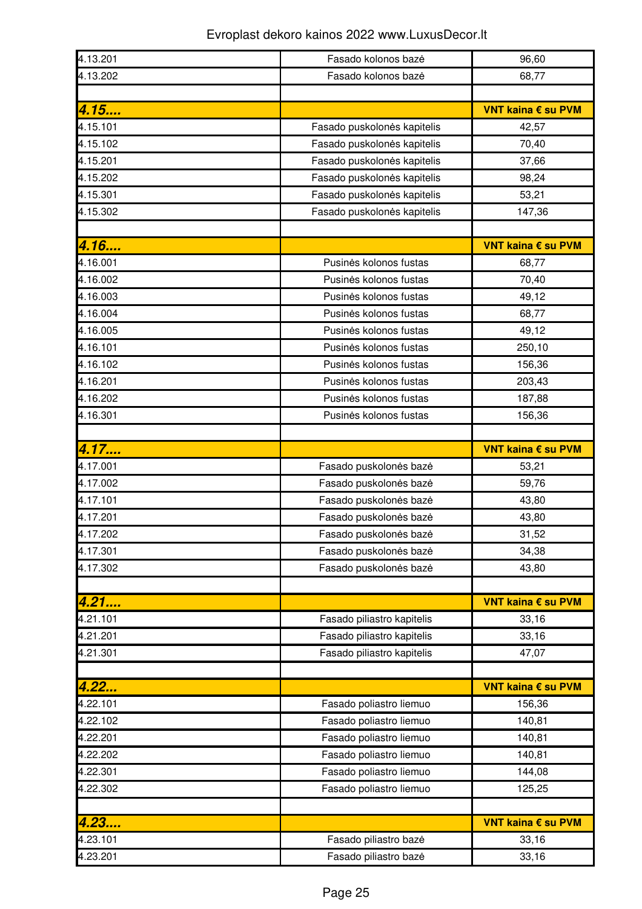| 4.13.201             | Fasado kolonos bazė                            | 96,60              |
|----------------------|------------------------------------------------|--------------------|
| 4.13.202             | Fasado kolonos bazė                            | 68,77              |
|                      |                                                |                    |
| 4.15                 |                                                | VNT kaina € su PVM |
| 4.15.101             | Fasado puskolones kapitelis                    | 42,57              |
| 4.15.102             | Fasado puskolonės kapitelis                    | 70,40              |
| 4.15.201             | Fasado puskolonės kapitelis                    | 37,66              |
| 4.15.202             | Fasado puskolonės kapitelis                    | 98,24              |
| 4.15.301             | Fasado puskolonės kapitelis                    | 53,21              |
| 4.15.302             | Fasado puskolonės kapitelis                    | 147,36             |
|                      |                                                |                    |
| 4.16                 |                                                | VNT kaina € su PVM |
| 4.16.001             | Pusinės kolonos fustas                         | 68,77              |
| 4.16.002             | Pusinės kolonos fustas                         | 70,40              |
| 4.16.003             | Pusinės kolonos fustas                         | 49,12              |
| 4.16.004             | Pusinės kolonos fustas                         | 68,77              |
| 4.16.005             | Pusinės kolonos fustas                         | 49,12              |
| 4.16.101             | Pusinės kolonos fustas                         | 250,10             |
| 4.16.102             | Pusinės kolonos fustas                         | 156,36             |
| 4.16.201             | Pusinės kolonos fustas                         | 203,43             |
| 4.16.202             | Pusinės kolonos fustas                         | 187,88             |
| 4.16.301             | Pusinės kolonos fustas                         | 156,36             |
|                      |                                                |                    |
| 4.17                 |                                                | VNT kaina € su PVM |
| 4.17.001             | Fasado puskolonės bazė                         | 53,21              |
| 4.17.002             | Fasado puskolonės bazė                         | 59,76              |
| 4.17.101             | Fasado puskolonės bazė                         | 43,80              |
| 4.17.201             | Fasado puskolonės bazė                         | 43,80              |
| 4.17.202             | Fasado puskolonės bazė                         | 31,52              |
| 4.17.301             | Fasado puskolonės bazė                         | 34,38              |
| 4.17.302             | Fasado puskolonės bazė                         | 43,80              |
|                      |                                                |                    |
| 4.21                 |                                                | VNT kaina € su PVM |
| 4.21.101             | Fasado piliastro kapitelis                     | 33,16              |
| 4.21.201             | Fasado piliastro kapitelis                     | 33,16              |
| 4.21.301             | Fasado piliastro kapitelis                     | 47,07              |
|                      |                                                |                    |
| 4.22                 |                                                | VNT kaina € su PVM |
| 4.22.101             | Fasado poliastro liemuo                        | 156,36             |
| 4.22.102             | Fasado poliastro liemuo                        | 140,81             |
| 4.22.201             | Fasado poliastro liemuo                        | 140,81             |
| 4.22.202             | Fasado poliastro liemuo                        | 140,81             |
| 4.22.301             | Fasado poliastro liemuo                        | 144,08             |
| 4.22.302             | Fasado poliastro liemuo                        | 125,25             |
|                      |                                                |                    |
| 4.23                 |                                                |                    |
|                      |                                                | VNT kaina € su PVM |
| 4.23.101<br>4.23.201 | Fasado piliastro baze<br>Fasado piliastro bazė | 33,16<br>33,16     |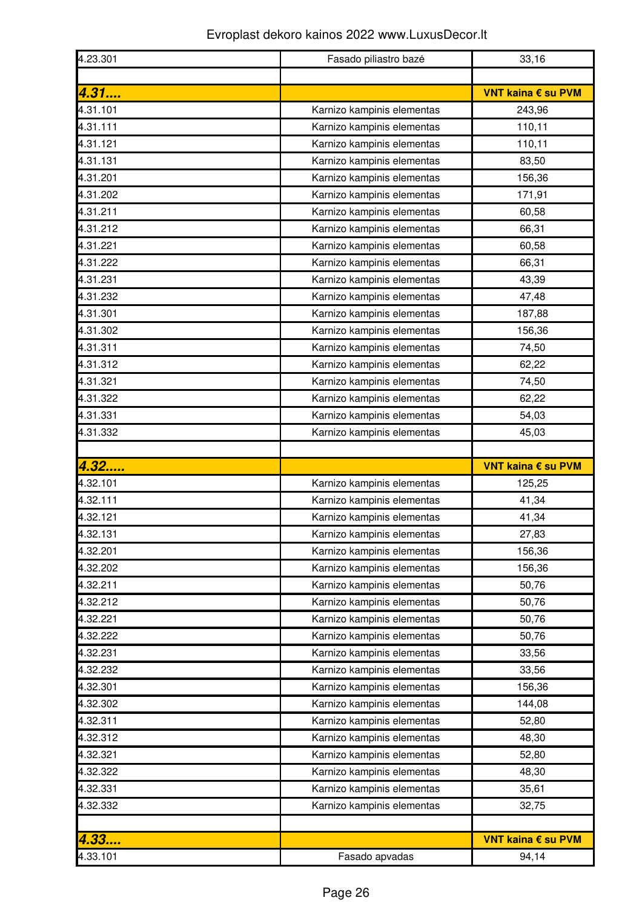| 4.23.301 | Fasado piliastro baze      | 33,16              |
|----------|----------------------------|--------------------|
|          |                            |                    |
| 4.31     |                            | VNT kaina € su PVM |
| 4.31.101 | Karnizo kampinis elementas | 243,96             |
| 4.31.111 | Karnizo kampinis elementas | 110,11             |
| 4.31.121 | Karnizo kampinis elementas | 110,11             |
| 4.31.131 | Karnizo kampinis elementas | 83,50              |
| 4.31.201 | Karnizo kampinis elementas | 156,36             |
| 4.31.202 | Karnizo kampinis elementas | 171,91             |
| 4.31.211 | Karnizo kampinis elementas | 60,58              |
| 4.31.212 | Karnizo kampinis elementas | 66,31              |
| 4.31.221 | Karnizo kampinis elementas | 60,58              |
| 4.31.222 | Karnizo kampinis elementas | 66,31              |
| 4.31.231 | Karnizo kampinis elementas | 43,39              |
| 4.31.232 | Karnizo kampinis elementas | 47,48              |
| 4.31.301 | Karnizo kampinis elementas | 187,88             |
| 4.31.302 | Karnizo kampinis elementas | 156,36             |
| 4.31.311 | Karnizo kampinis elementas | 74,50              |
| 4.31.312 | Karnizo kampinis elementas | 62,22              |
| 4.31.321 | Karnizo kampinis elementas | 74,50              |
| 4.31.322 | Karnizo kampinis elementas | 62,22              |
| 4.31.331 | Karnizo kampinis elementas | 54,03              |
| 4.31.332 | Karnizo kampinis elementas | 45,03              |
|          |                            |                    |
|          |                            |                    |
| 4.32     |                            | VNT kaina € su PVM |
| 4.32.101 | Karnizo kampinis elementas | 125,25             |
| 4.32.111 | Karnizo kampinis elementas | 41,34              |
| 4.32.121 | Karnizo kampinis elementas | 41,34              |
| 4.32.131 | Karnizo kampinis elementas | 27,83              |
| 4.32.201 | Karnizo kampinis elementas | 156,36             |
| 4.32.202 | Karnizo kampinis elementas | 156,36             |
| 4.32.211 | Karnizo kampinis elementas | 50,76              |
| 4.32.212 | Karnizo kampinis elementas | 50,76              |
| 4.32.221 | Karnizo kampinis elementas | 50,76              |
| 4.32.222 | Karnizo kampinis elementas | 50,76              |
| 4.32.231 | Karnizo kampinis elementas | 33,56              |
| 4.32.232 | Karnizo kampinis elementas | 33,56              |
| 4.32.301 | Karnizo kampinis elementas | 156,36             |
| 4.32.302 | Karnizo kampinis elementas | 144,08             |
| 4.32.311 | Karnizo kampinis elementas | 52,80              |
| 4.32.312 | Karnizo kampinis elementas | 48,30              |
| 4.32.321 | Karnizo kampinis elementas | 52,80              |
| 4.32.322 | Karnizo kampinis elementas | 48,30              |
| 4.32.331 | Karnizo kampinis elementas | 35,61              |
| 4.32.332 | Karnizo kampinis elementas | 32,75              |
|          |                            |                    |
| 4.33     |                            | VNT kaina € su PVM |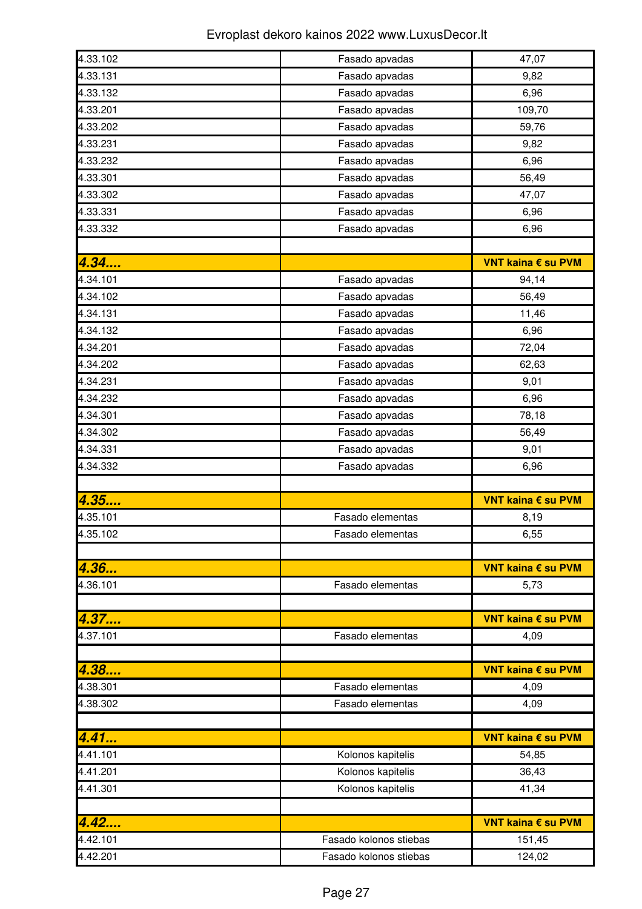| 4.33.102 | Fasado apvadas         | 47,07              |
|----------|------------------------|--------------------|
| 4.33.131 | Fasado apvadas         | 9,82               |
| 4.33.132 | Fasado apvadas         | 6,96               |
| 4.33.201 | Fasado apvadas         | 109,70             |
| 4.33.202 | Fasado apvadas         | 59,76              |
| 4.33.231 | Fasado apvadas         | 9,82               |
| 4.33.232 | Fasado apvadas         | 6,96               |
| 4.33.301 | Fasado apvadas         | 56,49              |
| 4.33.302 | Fasado apvadas         | 47,07              |
| 4.33.331 | Fasado apvadas         | 6,96               |
| 4.33.332 | Fasado apvadas         | 6,96               |
|          |                        |                    |
| 4.34     |                        | VNT kaina € su PVM |
| 4.34.101 | Fasado apvadas         | 94,14              |
| 4.34.102 | Fasado apvadas         | 56,49              |
| 4.34.131 | Fasado apvadas         | 11,46              |
| 4.34.132 | Fasado apvadas         | 6,96               |
| 4.34.201 | Fasado apvadas         | 72,04              |
| 4.34.202 | Fasado apvadas         | 62,63              |
| 4.34.231 | Fasado apvadas         | 9,01               |
| 4.34.232 | Fasado apvadas         | 6,96               |
| 4.34.301 | Fasado apvadas         | 78,18              |
| 4.34.302 | Fasado apvadas         | 56,49              |
| 4.34.331 | Fasado apvadas         | 9,01               |
| 4.34.332 | Fasado apvadas         | 6,96               |
|          |                        |                    |
| 4.35     |                        | VNT kaina € su PVM |
| 4.35.101 | Fasado elementas       | 8,19               |
| 4.35.102 | Fasado elementas       | 6,55               |
|          |                        |                    |
| 4.36…    |                        | VNT kaina € su PVM |
| 4.36.101 | Fasado elementas       | 5,73               |
|          |                        |                    |
| 4.37     |                        | VNT kaina € su PVM |
| 4.37.101 | Fasado elementas       | 4,09               |
|          |                        |                    |
| 4.38     |                        | VNT kaina € su PVM |
| 4.38.301 | Fasado elementas       | 4,09               |
| 4.38.302 | Fasado elementas       | 4,09               |
|          |                        |                    |
| 4.41     |                        | VNT kaina € su PVM |
| 4.41.101 | Kolonos kapitelis      | 54,85              |
| 4.41.201 | Kolonos kapitelis      | 36,43              |
| 4.41.301 | Kolonos kapitelis      | 41,34              |
|          |                        |                    |
| 4.42     |                        | VNT kaina € su PVM |
| 4.42.101 | Fasado kolonos stiebas | 151,45             |
| 4.42.201 | Fasado kolonos stiebas | 124,02             |
|          |                        |                    |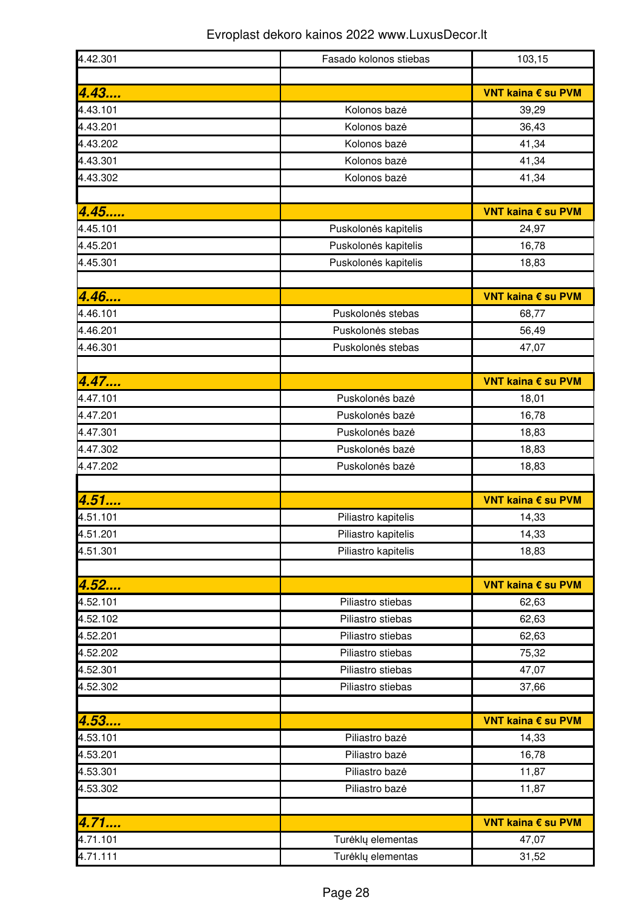| 4.42.301         | Fasado kolonos stiebas           | 103,15                      |
|------------------|----------------------------------|-----------------------------|
|                  |                                  |                             |
| 4.43<br>4.43.101 | Kolonos bazė                     | VNT kaina € su PVM<br>39,29 |
| 4.43.201         | Kolonos bazė                     | 36,43                       |
| 4.43.202         | Kolonos bazė                     | 41,34                       |
| 4.43.301         | Kolonos bazė                     | 41,34                       |
| 4.43.302         | Kolonos bazė                     | 41,34                       |
|                  |                                  |                             |
| 4.45             |                                  | VNT kaina € su PVM          |
| 4.45.101         | Puskolonės kapitelis             | 24,97                       |
| 4.45.201         | Puskolonės kapitelis             | 16,78                       |
| 4.45.301         | Puskolonės kapitelis             | 18,83                       |
|                  |                                  |                             |
| 4.46             |                                  | VNT kaina € su PVM          |
| 4.46.101         | Puskolonės stebas                | 68,77                       |
| 4.46.201         | Puskolonės stebas                | 56,49                       |
| 4.46.301         | Puskolonės stebas                | 47,07                       |
|                  |                                  |                             |
| 4.47             |                                  | VNT kaina € su PVM          |
| 4.47.101         | Puskolonės bazė                  | 18,01                       |
| 4.47.201         | Puskolonės bazė                  | 16,78                       |
| 4.47.301         | Puskolonės bazė                  | 18,83                       |
| 4.47.302         | Puskolonės bazė                  | 18,83                       |
| 4.47.202         | Puskolonės bazė                  | 18,83                       |
|                  |                                  |                             |
| 4.51             |                                  | VNT kaina € su PVM          |
| 4.51.101         | Piliastro kapitelis              | 14,33                       |
| 4.51.201         | Piliastro kapitelis              | 14,33                       |
| 4.51.301         | Piliastro kapitelis              | 18,83                       |
|                  |                                  |                             |
| 4.52             |                                  | VNT kaina € su PVM          |
| 4.52.101         | Piliastro stiebas                | 62,63                       |
| 4.52.102         | Piliastro stiebas                | 62,63                       |
| 4.52.201         | Piliastro stiebas                | 62,63                       |
| 4.52.202         | Piliastro stiebas                | 75,32                       |
| 4.52.301         | Piliastro stiebas                | 47,07                       |
| 4.52.302         | Piliastro stiebas                | 37,66                       |
|                  |                                  |                             |
| 4.53<br>4.53.101 | Piliastro bazė                   | VNT kaina € su PVM          |
| 4.53.201         | Piliastro bazė                   | 14,33                       |
| 4.53.301         |                                  | 16,78                       |
| 4.53.302         | Piliastro bazė<br>Piliastro bazė | 11,87<br>11,87              |
|                  |                                  |                             |
| 4.71             |                                  | VNT kaina € su PVM          |
| 4.71.101         | Turėklų elementas                | 47,07                       |
| 4.71.111         | Turėklų elementas                | 31,52                       |
|                  |                                  |                             |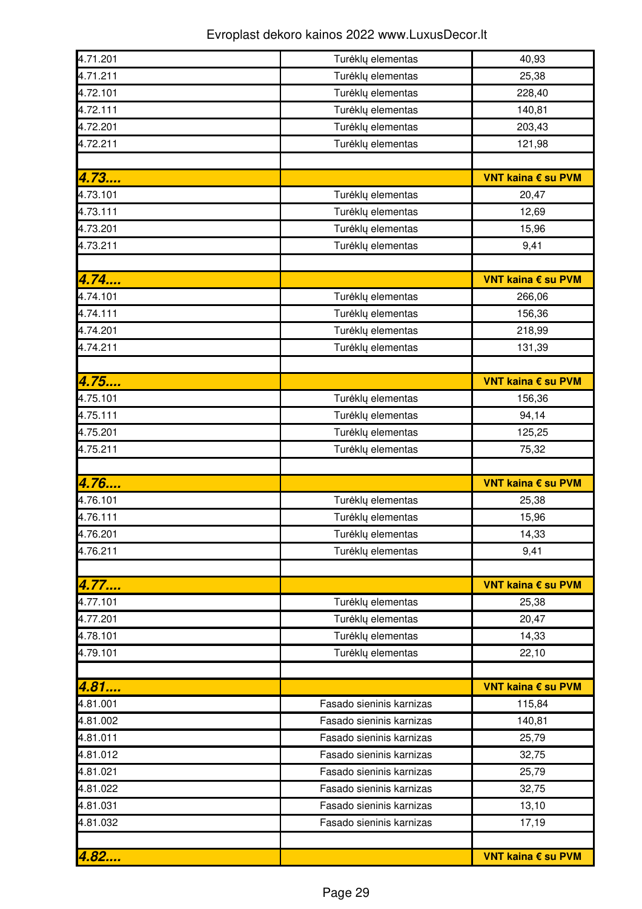| 4.71.201 | Turėklų elementas        | 40,93              |
|----------|--------------------------|--------------------|
| 4.71.211 | Turėklų elementas        | 25,38              |
| 4.72.101 | Turėklų elementas        | 228,40             |
| 4.72.111 | Turėklų elementas        | 140,81             |
| 4.72.201 | Turėklų elementas        | 203,43             |
| 4.72.211 | Turėklų elementas        | 121,98             |
|          |                          |                    |
| 4.73     |                          | VNT kaina € su PVM |
| 4.73.101 | Turėklų elementas        | 20,47              |
| 4.73.111 | Turėklų elementas        | 12,69              |
| 4.73.201 | Turėklų elementas        | 15,96              |
| 4.73.211 | Turėklų elementas        | 9,41               |
|          |                          |                    |
| 4.74     |                          | VNT kaina € su PVM |
| 4.74.101 | Turėklų elementas        | 266,06             |
| 4.74.111 | Turėklų elementas        | 156,36             |
| 4.74.201 | Turėklų elementas        | 218,99             |
| 4.74.211 | Turėklų elementas        | 131,39             |
|          |                          |                    |
| 4.75     |                          | VNT kaina € su PVM |
| 4.75.101 | Turėklų elementas        | 156,36             |
| 4.75.111 | Turėklų elementas        | 94,14              |
| 4.75.201 | Turėklų elementas        | 125,25             |
| 4.75.211 | Turėklų elementas        | 75,32              |
|          |                          |                    |
| 4.76     |                          | VNT kaina € su PVM |
| 4.76.101 | Turėklų elementas        | 25,38              |
| 4.76.111 | Turėklų elementas        | 15,96              |
| 4.76.201 | Turėklų elementas        | 14,33              |
| 4.76.211 | Turėklų elementas        | 9,41               |
|          |                          |                    |
| 4.77     |                          | VNT kaina € su PVM |
| 4.77.101 | Turėklų elementas        | 25,38              |
| 4.77.201 |                          |                    |
|          | Turėklų elementas        | 20,47              |
| 4.78.101 | Turėklų elementas        | 14,33              |
| 4.79.101 | Tureklų elementas        | 22,10              |
|          |                          |                    |
| 4.81     |                          | VNT kaina € su PVM |
| 4.81.001 | Fasado sieninis karnizas | 115,84             |
| 4.81.002 | Fasado sieninis karnizas | 140,81             |
| 4.81.011 | Fasado sieninis karnizas | 25,79              |
| 4.81.012 | Fasado sieninis karnizas | 32,75              |
| 4.81.021 | Fasado sieninis karnizas | 25,79              |
| 4.81.022 | Fasado sieninis karnizas | 32,75              |
| 4.81.031 | Fasado sieninis karnizas | 13,10              |
| 4.81.032 | Fasado sieninis karnizas | 17,19              |
| 4.82     |                          |                    |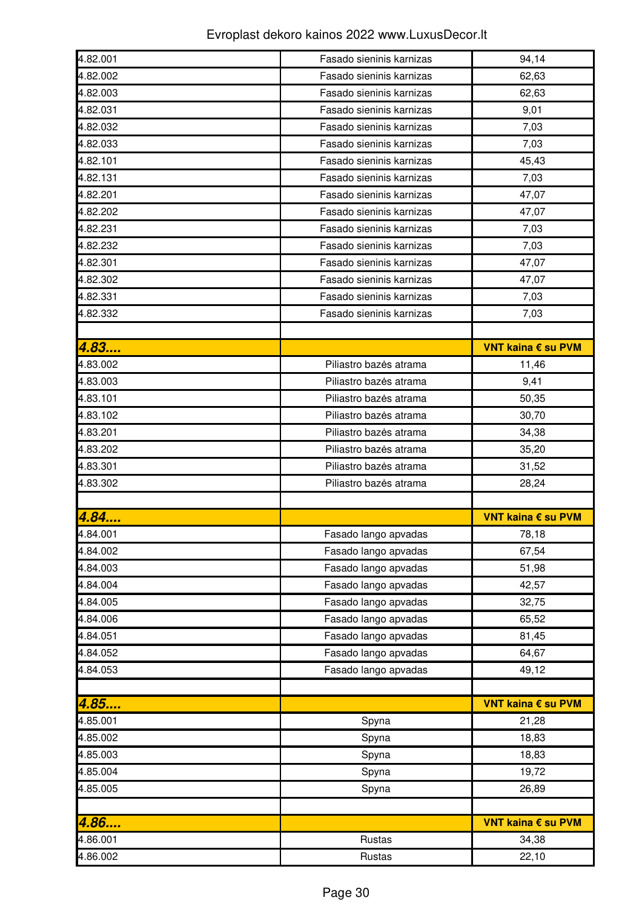| 4.82.001 | Fasado sieninis karnizas | 94,14              |
|----------|--------------------------|--------------------|
| 4.82.002 | Fasado sieninis karnizas | 62,63              |
| 4.82.003 | Fasado sieninis karnizas | 62,63              |
| 4.82.031 | Fasado sieninis karnizas | 9,01               |
| 4.82.032 | Fasado sieninis karnizas | 7,03               |
| 4.82.033 | Fasado sieninis karnizas | 7,03               |
| 4.82.101 | Fasado sieninis karnizas | 45,43              |
| 4.82.131 | Fasado sieninis karnizas | 7,03               |
| 4.82.201 | Fasado sieninis karnizas | 47,07              |
| 4.82.202 | Fasado sieninis karnizas | 47,07              |
| 4.82.231 | Fasado sieninis karnizas | 7,03               |
| 4.82.232 | Fasado sieninis karnizas | 7,03               |
| 4.82.301 | Fasado sieninis karnizas | 47,07              |
| 4.82.302 | Fasado sieninis karnizas | 47,07              |
| 4.82.331 | Fasado sieninis karnizas | 7,03               |
| 4.82.332 | Fasado sieninis karnizas | 7,03               |
|          |                          |                    |
| 4.83     |                          | VNT kaina € su PVM |
| 4.83.002 | Piliastro bazės atrama   | 11,46              |
| 4.83.003 | Piliastro bazės atrama   | 9,41               |
| 4.83.101 | Piliastro bazės atrama   | 50,35              |
| 4.83.102 | Piliastro bazės atrama   | 30,70              |
| 4.83.201 | Piliastro bazės atrama   | 34,38              |
| 4.83.202 |                          |                    |
|          | Piliastro bazės atrama   | 35,20              |
|          |                          |                    |
| 4.83.301 | Piliastro bazės atrama   | 31,52              |
| 4.83.302 | Piliastro bazės atrama   | 28,24              |
|          |                          |                    |
| 4.84     |                          | VNT kaina € su PVM |
| 4.84.001 | Fasado lango apvadas     | 78,18              |
| 4.84.002 | Fasado lango apvadas     | 67,54              |
| 4.84.003 | Fasado lango apvadas     | 51,98              |
| 4.84.004 | Fasado lango apvadas     | 42,57              |
| 4.84.005 | Fasado lango apvadas     | 32,75              |
| 4.84.006 | Fasado lango apvadas     | 65,52              |
| 4.84.051 | Fasado lango apvadas     | 81,45              |
| 4.84.052 | Fasado lango apvadas     | 64,67              |
| 4.84.053 | Fasado lango apvadas     | 49,12              |
|          |                          |                    |
| 4.85     |                          | VNT kaina € su PVM |
| 4.85.001 | Spyna                    | 21,28              |
| 4.85.002 | Spyna                    | 18,83              |
| 4.85.003 | Spyna                    | 18,83              |
| 4.85.004 | Spyna                    | 19,72              |
| 4.85.005 | Spyna                    | 26,89              |
|          |                          |                    |
| 4.86     |                          | VNT kaina € su PVM |
| 4.86.001 | Rustas                   | 34,38              |
| 4.86.002 | Rustas                   | 22,10              |